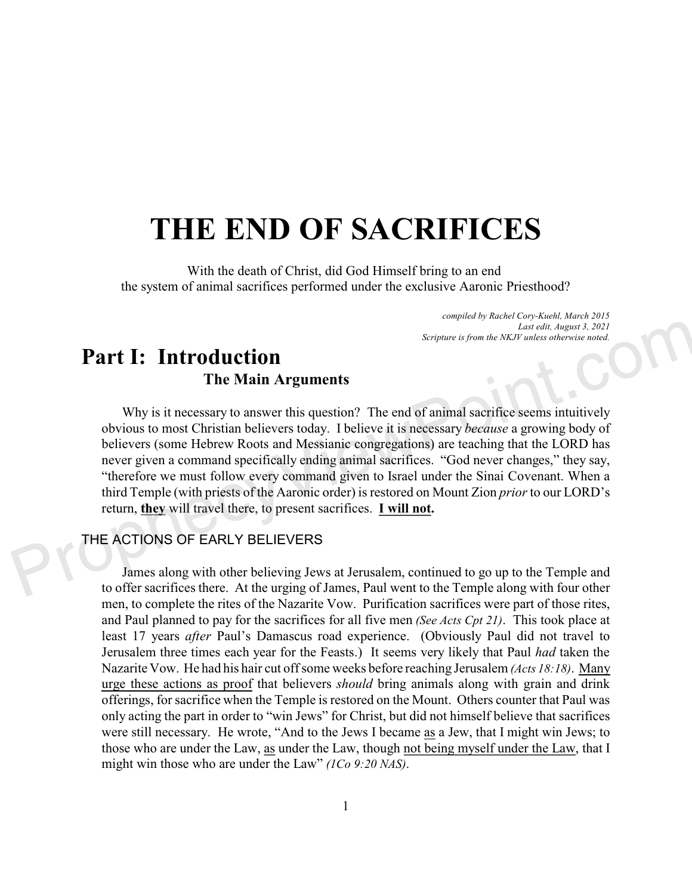# **THE END OF SACRIFICES**

With the death of Christ, did God Himself bring to an end the system of animal sacrifices performed under the exclusive Aaronic Priesthood?

> *compiled by Rachel Cory-Kuehl, March 2015 Last edit, August 3, 2021 Scripture is from the NKJV unless otherwise noted.*

## **Part I: Introduction The Main Arguments**

Why is it necessary to answer this question? The end of animal sacrifice seems intuitively obvious to most Christian believers today. I believe it is necessary *because* a growing body of believers (some Hebrew Roots and Messianic congregations) are teaching that the LORD has never given a command specifically ending animal sacrifices. "God never changes," they say, "therefore we must follow every command given to Israel under the Sinai Covenant. When a third Temple (with priests of the Aaronic order) is restored on Mount Zion *prior* to our LORD's return, **they** will travel there, to present sacrifices. **I will not.** 

## THE ACTIONS OF EARLY BELIEVERS

James along with other believing Jews at Jerusalem, continued to go up to the Temple and to offer sacrifices there. At the urging of James, Paul went to the Temple along with four other men, to complete the rites of the Nazarite Vow. Purification sacrifices were part of those rites, and Paul planned to pay for the sacrifices for all five men *(See Acts Cpt 21)*. This took place at least 17 years *after* Paul's Damascus road experience. (Obviously Paul did not travel to Jerusalem three times each year for the Feasts.) It seems very likely that Paul *had* taken the Nazarite Vow. He had his hair cut off some weeks before reaching Jerusalem *(Acts 18:18)*. Many urge these actions as proof that believers *should* bring animals along with grain and drink offerings, for sacrifice when the Temple is restored on the Mount. Others counter that Paul was only acting the part in order to "win Jews" for Christ, but did not himself believe that sacrifices were still necessary. He wrote, "And to the Jews I became as a Jew, that I might win Jews; to those who are under the Law, as under the Law, though not being myself under the Law, that I might win those who are under the Law" *(1Co 9:20 NAS)*.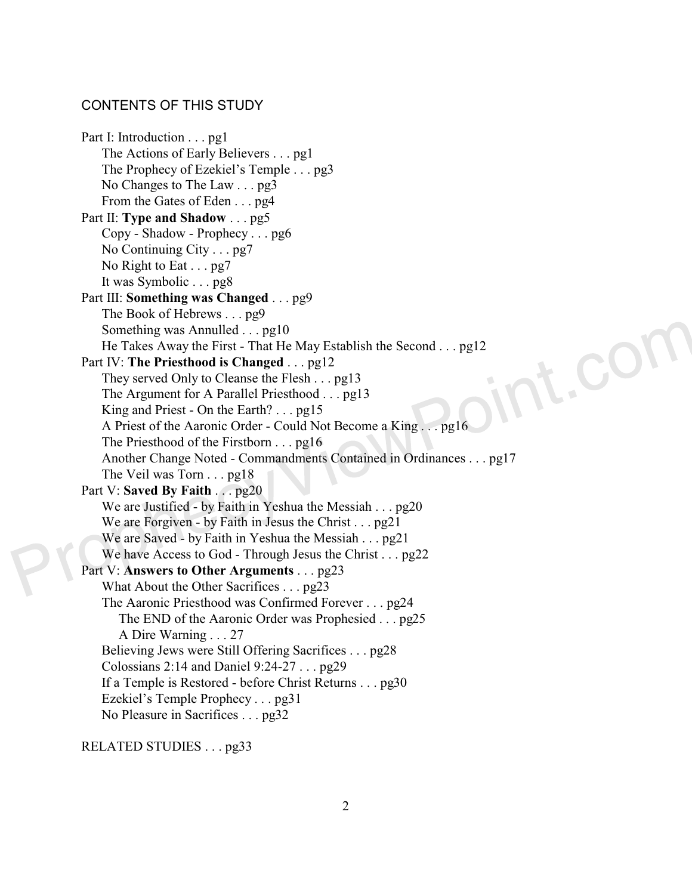## CONTENTS OF THIS STUDY

Part I: Introduction . . . pg1 The Actions of Early Believers . . . pg1 The Prophecy of Ezekiel's Temple . . . pg3 No Changes to The Law . . . pg3 From the Gates of Eden . . . pg4 Part II: **Type and Shadow** . . . pg5 Copy - Shadow - Prophecy . . . pg6 No Continuing City . . . pg7 No Right to Eat . . . pg7 It was Symbolic . . . pg8 Part III: **Something was Changed** . . . pg9 The Book of Hebrews . . . pg9 Something was Annulled . . . pg10 int.cor He Takes Away the First - That He May Establish the Second . . . pg12 Part IV: **The Priesthood is Changed** . . . pg12 They served Only to Cleanse the Flesh . . . pg13 The Argument for A Parallel Priesthood . . . pg13 King and Priest - On the Earth? . . . pg15 A Priest of the Aaronic Order - Could Not Become a King . . . pg16 The Priesthood of the Firstborn . . . pg16 Another Change Noted - Commandments Contained in Ordinances . . . pg17 The Veil was Torn . . . pg18 Part V: **Saved By Faith** . . . pg20 We are Justified - by Faith in Yeshua the Messiah . . . pg20 We are Forgiven - by Faith in Jesus the Christ . . . pg21 We are Saved - by Faith in Yeshua the Messiah . . . pg21 We have Access to God - Through Jesus the Christ . . . pg22 Part V: **Answers to Other Arguments** . . . pg23 What About the Other Sacrifices . . . pg23 The Aaronic Priesthood was Confirmed Forever . . . pg24 The END of the Aaronic Order was Prophesied . . . pg25 A Dire Warning . . . 27 Believing Jews were Still Offering Sacrifices . . . pg28 Colossians 2:14 and Daniel 9:24-27 . . . pg29 If a Temple is Restored - before Christ Returns . . . pg30 Ezekiel's Temple Prophecy . . . pg31 No Pleasure in Sacrifices . . . pg32

RELATED STUDIES . . . pg33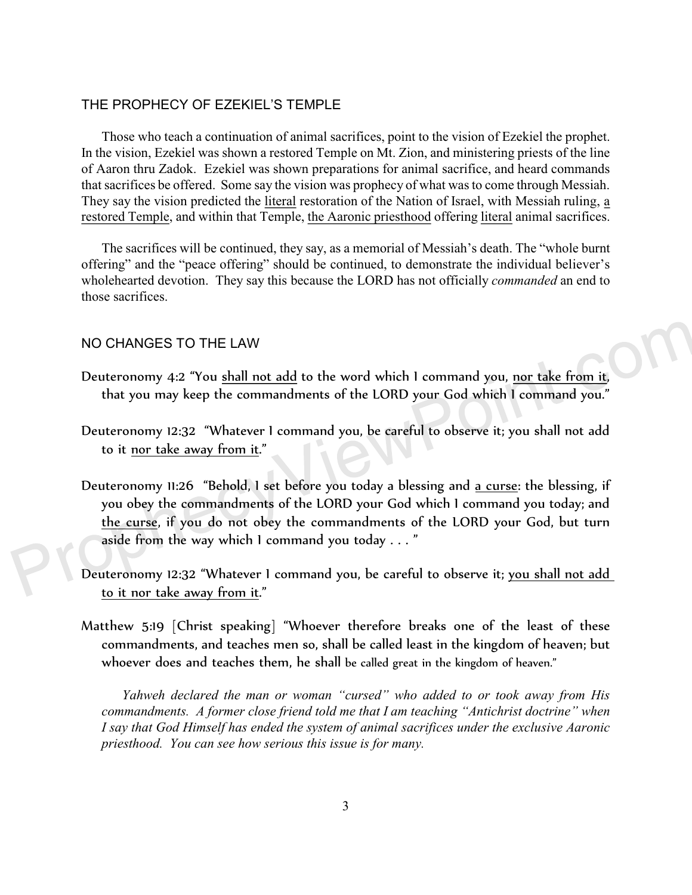## THE PROPHECY OF EZEKIEL'S TEMPLE

Those who teach a continuation of animal sacrifices, point to the vision of Ezekiel the prophet. In the vision, Ezekiel was shown a restored Temple on Mt. Zion, and ministering priests of the line of Aaron thru Zadok. Ezekiel was shown preparations for animal sacrifice, and heard commands that sacrifices be offered. Some say the vision was prophecy of what was to come through Messiah. They say the vision predicted the literal restoration of the Nation of Israel, with Messiah ruling, a restored Temple, and within that Temple, the Aaronic priesthood offering literal animal sacrifices.

The sacrifices will be continued, they say, as a memorial of Messiah's death. The "whole burnt offering" and the "peace offering" should be continued, to demonstrate the individual believer's wholehearted devotion. They say this because the LORD has not officially *commanded* an end to those sacrifices.

### NO CHANGES TO THE LAW

- Deuteronomy 4:2 "You shall not add to the word which I command you, nor take from it, that you may keep the commandments of the LORD your God which I command you."
- Deuteronomy 12:32 "Whatever I command you, be careful to observe it; you shall not add to it nor take away from it."
- Deuteronomy 11:26 "Behold, I set before you today a blessing and a curse: the blessing, if you obey the commandments of the LORD your God which I command you today; and the curse, if you do not obey the commandments of the LORD your God, but turn aside from the way which I command you today . . . "
- Deuteronomy 12:32 "Whatever I command you, be careful to observe it; you shall not add to it nor take away from it."
- Matthew 5:19 [Christ speaking] "Whoever therefore breaks one of the least of these commandments, and teaches men so, shall be called least in the kingdom of heaven; but whoever does and teaches them, he shall be called great in the kingdom of heaven."

*Yahweh declared the man or woman "cursed" who added to or took away from His commandments. A former close friend told me that I am teaching "Antichrist doctrine" when I say that God Himself has ended the system of animal sacrifices under the exclusive Aaronic priesthood. You can see how serious this issue is for many.*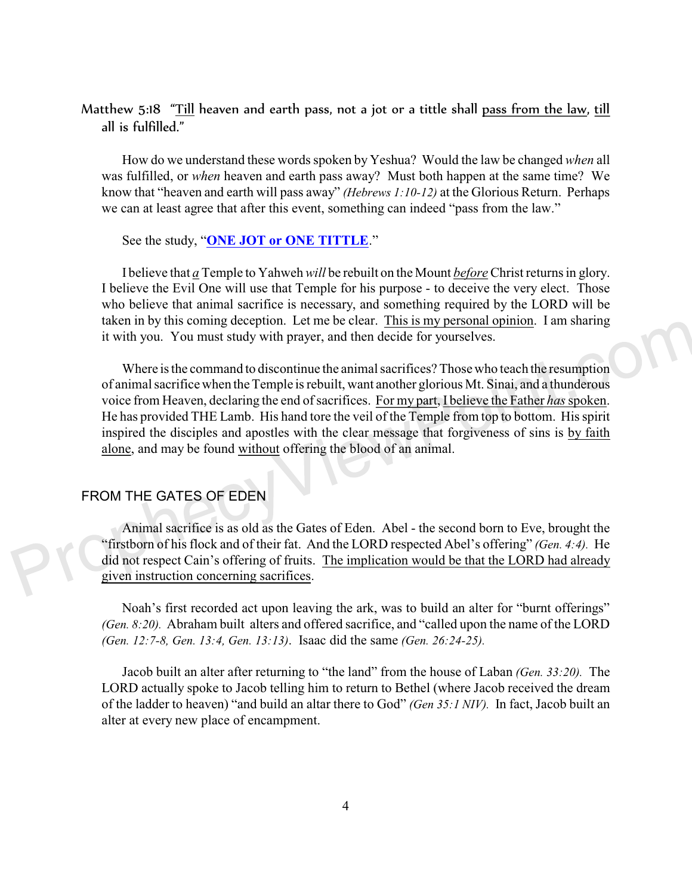## Matthew 5:18 "Till heaven and earth pass, not a jot or a tittle shall pass from the law, till all is fulfilled."

How do we understand these words spoken by Yeshua? Would the law be changed *when* all was fulfilled, or *when* heaven and earth pass away? Must both happen at the same time? We know that "heaven and earth will pass away" *(Hebrews 1:10-12)* at the Glorious Return. Perhaps we can at least agree that after this event, something can indeed "pass from the law."

See the study, "**[ONE JOT or ONE TITTLE](https://www.prophecyviewpoint.com/htdocs/40b-ONE%20JOT%20OR%20ONE%20TITTLE.htm)**."

I believe that *a* Temple to Yahweh *will* be rebuilt on the Mount *before* Christ returns in glory. I believe the Evil One will use that Temple for his purpose - to deceive the very elect. Those who believe that animal sacrifice is necessary, and something required by the LORD will be taken in by this coming deception. Let me be clear. This is my personal opinion. I am sharing it with you. You must study with prayer, and then decide for yourselves.

Where is the command to discontinue the animal sacrifices? Those who teach the resumption of animal sacrifice when the Temple is rebuilt, want another glorious Mt. Sinai, and a thunderous voice from Heaven, declaring the end of sacrifices. For my part, I believe the Father *has* spoken. He has provided THE Lamb. His hand tore the veil of the Temple from top to bottom. His spirit inspired the disciples and apostles with the clear message that forgiveness of sins is by faith alone, and may be found without offering the blood of an animal.

## FROM THE GATES OF EDEN

Animal sacrifice is as old as the Gates of Eden. Abel - the second born to Eve, brought the "firstborn of his flock and of their fat. And the LORD respected Abel's offering" *(Gen. 4:4).* He did not respect Cain's offering of fruits. The implication would be that the LORD had already given instruction concerning sacrifices.

Noah's first recorded act upon leaving the ark, was to build an alter for "burnt offerings" *(Gen. 8:20).* Abraham built alters and offered sacrifice, and "called upon the name of the LORD *(Gen. 12:7-8, Gen. 13:4, Gen. 13:13)*. Isaac did the same *(Gen. 26:24-25).*

Jacob built an alter after returning to "the land" from the house of Laban *(Gen. 33:20).* The LORD actually spoke to Jacob telling him to return to Bethel (where Jacob received the dream of the ladder to heaven) "and build an altar there to God" *(Gen 35:1 NIV).* In fact, Jacob built an alter at every new place of encampment.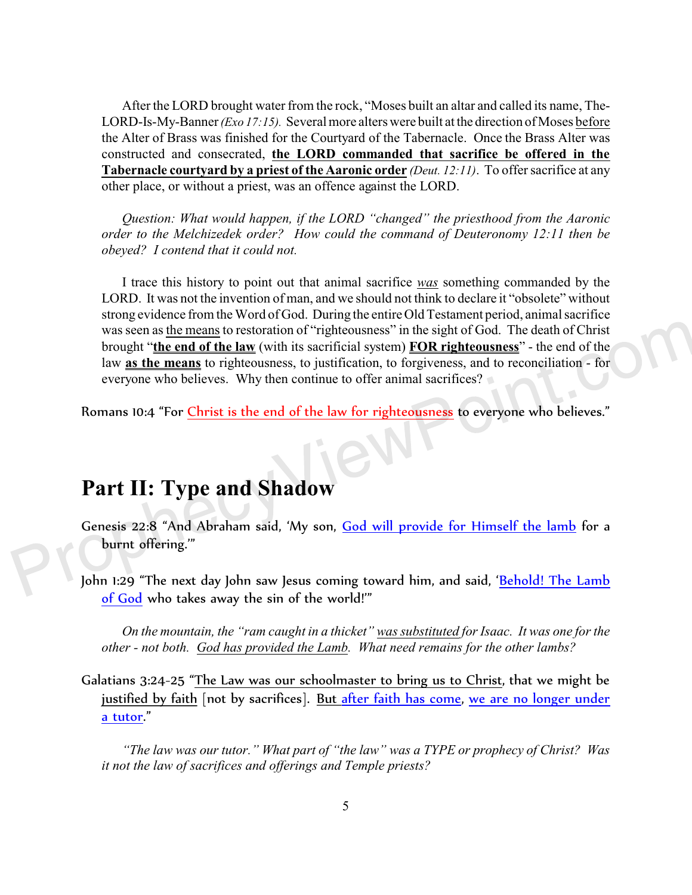After the LORD brought water from the rock, "Moses built an altar and called its name, The-LORD-Is-My-Banner *(Exo 17:15).* Several more alters were built at the direction of Moses before the Alter of Brass was finished for the Courtyard of the Tabernacle. Once the Brass Alter was constructed and consecrated, **the LORD commanded that sacrifice be offered in the Tabernacle courtyard by a priest of the Aaronic order** *(Deut. 12:11)*. To offer sacrifice at any other place, or without a priest, was an offence against the LORD.

*Question: What would happen, if the LORD "changed" the priesthood from the Aaronic order to the Melchizedek order? How could the command of Deuteronomy 12:11 then be obeyed? I contend that it could not.* 

I trace this history to point out that animal sacrifice *was* something commanded by the LORD. It was not the invention of man, and we should not think to declare it "obsolete" without strong evidence from the Word of God. During the entire Old Testament period, animal sacrifice was seen as the means to restoration of "righteousness" in the sight of God. The death of Christ brought "**the end of the law** (with its sacrificial system) **FOR righteousness**" - the end of the law **as the means** to righteousness, to justification, to forgiveness, and to reconciliation - for everyone who believes. Why then continue to offer animal sacrifices?

Romans 10:4 "For Christ is the end of the law for righteousness to everyone who believes."

# **Part II: Type and Shadow**

- Genesis 22:8 "And Abraham said, 'My son, God will provide for Himself the lamb for a burnt offering.'"
- John 1:29 "The next day John saw Jesus coming toward him, and said, '<mark>Behold! The Lamb</mark> of God who takes away the sin of the world!'"

*On the mountain, the "ram caught in a thicket" was substituted for Isaac. It was one for the other - not both. God has provided the Lamb. What need remains for the other lambs?* 

Galatians 3:24-25 "The Law was our schoolmaster to bring us to Christ, that we might be justified by faith [not by sacrifices]. <u>But after faith has come</u>, we are no longer under a tutor."

*"The law was our tutor." What part of "the law" was a TYPE or prophecy of Christ? Was it not the law of sacrifices and offerings and Temple priests?*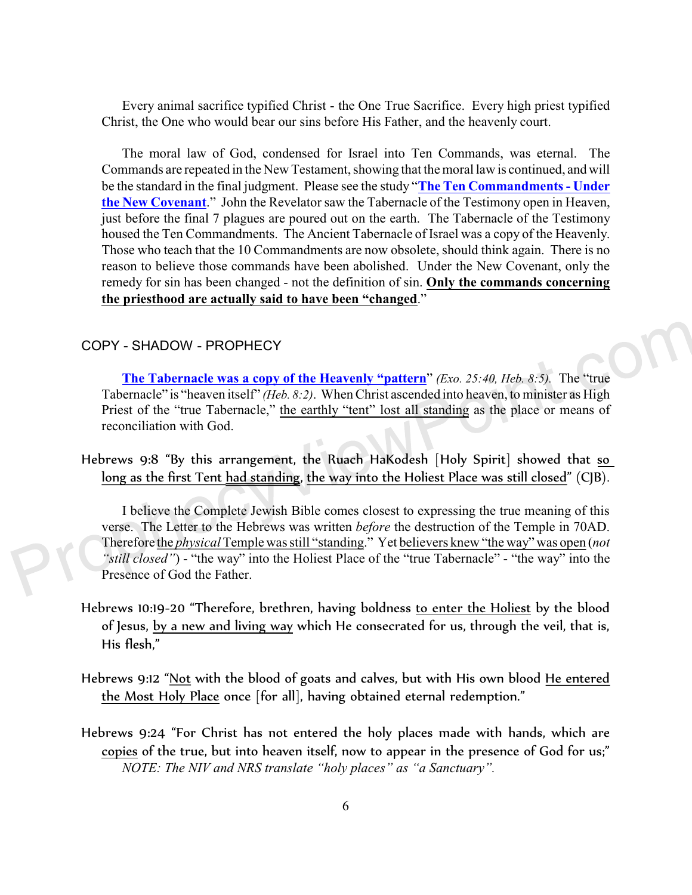Every animal sacrifice typified Christ - the One True Sacrifice. Every high priest typified Christ, the One who would bear our sins before His Father, and the heavenly court.

The moral law of God, condensed for Israel into Ten Commands, was eternal. The Commands are repeated in the New Testament, showing that the moral law is continued, and will be the standard in the final judgment. Please see the study "**[The Ten Commandments - Under](http://prophecyviewpoint.com/htdocs/40d-Ten%20Commands%20in%20NT.htm) [the New Covenant](http://prophecyviewpoint.com/htdocs/40d-Ten%20Commands%20in%20NT.htm)**." John the Revelator saw the Tabernacle of the Testimony open in Heaven, just before the final 7 plagues are poured out on the earth. The Tabernacle of the Testimony housed the Ten Commandments. The Ancient Tabernacle of Israel was a copy of the Heavenly. Those who teach that the 10 Commandments are now obsolete, should think again. There is no reason to believe those commands have been abolished. Under the New Covenant, only the remedy for sin has been changed - not the definition of sin. **Only the commands concerning the priesthood are actually said to have been "changed**."

#### COPY - SHADOW - PROPHECY

**The Tabernacle was a copy of the Heavenly "pattern**" *(Exo. 25:40, Heb. 8:5).* The "true Tabernacle" is "heaven itself" *(Heb. 8:2)*. When Christ ascended into heaven, to minister as High Priest of the "true Tabernacle," the earthly "tent" lost all standing as the place or means of reconciliation with God.

Hebrews 9:8 "By this arrangement, the Ruach HaKodesh [Holy Spirit] showed that so long as the first Tent had standing, the way into the Holiest Place was still closed" (CJB).

I believe the Complete Jewish Bible comes closest to expressing the true meaning of this verse. The Letter to the Hebrews was written *before* the destruction of the Temple in 70AD. Therefore the *physical* Temple was still "standing." Yet believers knew "the way" was open (*not "still closed"*) - "the way" into the Holiest Place of the "true Tabernacle" - "the way" into the Presence of God the Father.

- Hebrews 10:19-20 "Therefore, brethren, having boldness to enter the Holiest by the blood of Jesus, by a new and living way which He consecrated for us, through the veil, that is, His flesh,"
- Hebrews 9:12 "Not with the blood of goats and calves, but with His own blood He entered the Most Holy Place once [for all], having obtained eternal redemption."
- Hebrews 9:24 "For Christ has not entered the holy places made with hands, which are copies of the true, but into heaven itself, now to appear in the presence of God for us;" *NOTE: The NIV and NRS translate "holy places" as "a Sanctuary".*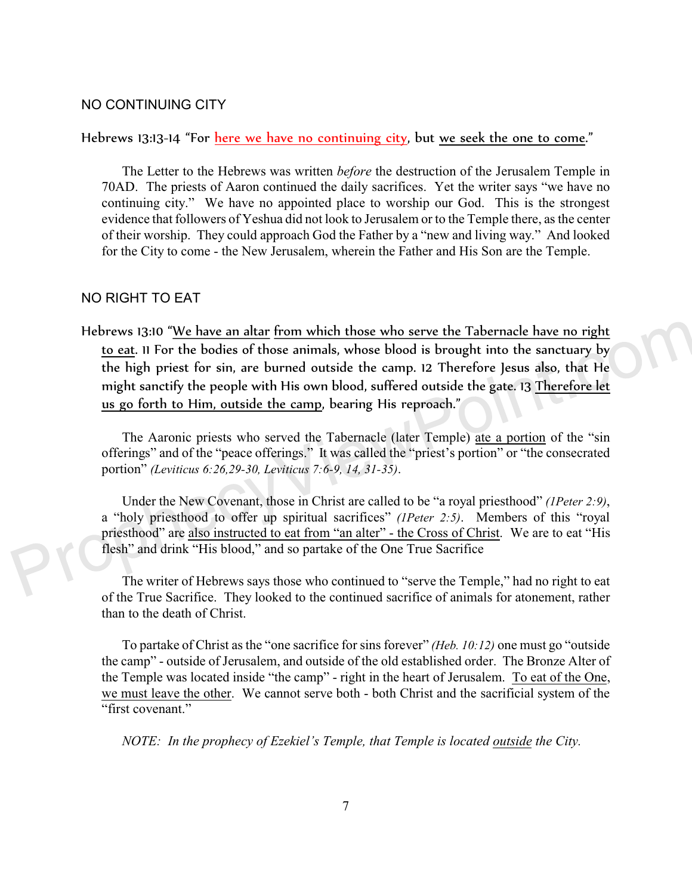#### NO CONTINUING CITY

#### Hebrews 13:13-14 "For here we have no continuing city, but we seek the one to come."

The Letter to the Hebrews was written *before* the destruction of the Jerusalem Temple in 70AD. The priests of Aaron continued the daily sacrifices. Yet the writer says "we have no continuing city." We have no appointed place to worship our God. This is the strongest evidence that followers of Yeshua did not look to Jerusalem or to the Temple there, as the center of their worship. They could approach God the Father by a "new and living way." And looked for the City to come - the New Jerusalem, wherein the Father and His Son are the Temple.

## NO RIGHT TO EAT

Hebrews 13:10 "We have an altar from which those who serve the Tabernacle have no right to eat. 11 For the bodies of those animals, whose blood is brought into the sanctuary by the high priest for sin, are burned outside the camp. 12 Therefore Jesus also, that He might sanctify the people with His own blood, suffered outside the gate. 13 Therefore let us go forth to Him, outside the camp, bearing His reproach."

The Aaronic priests who served the Tabernacle (later Temple) ate a portion of the "sin offerings" and of the "peace offerings." It was called the "priest's portion" or "the consecrated portion" *(Leviticus 6:26,29-30, Leviticus 7:6-9, 14, 31-35)*.

Under the New Covenant, those in Christ are called to be "a royal priesthood" *(1Peter 2:9)*, a "holy priesthood to offer up spiritual sacrifices" *(1Peter 2:5)*. Members of this "royal priesthood" are also instructed to eat from "an alter" - the Cross of Christ. We are to eat "His flesh" and drink "His blood," and so partake of the One True Sacrifice

The writer of Hebrews says those who continued to "serve the Temple," had no right to eat of the True Sacrifice. They looked to the continued sacrifice of animals for atonement, rather than to the death of Christ.

To partake of Christ as the "one sacrifice for sins forever" *(Heb. 10:12)* one must go "outside the camp" - outside of Jerusalem, and outside of the old established order. The Bronze Alter of the Temple was located inside "the camp" - right in the heart of Jerusalem. To eat of the One, we must leave the other. We cannot serve both - both Christ and the sacrificial system of the "first covenant."

*NOTE: In the prophecy of Ezekiel's Temple, that Temple is located outside the City.*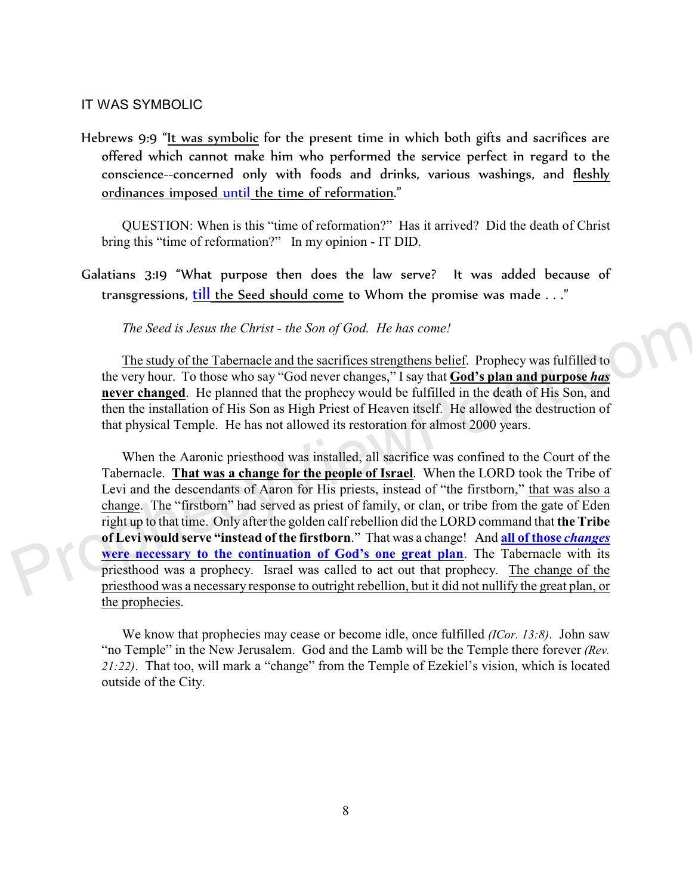#### IT WAS SYMBOLIC

Hebrews 9:9 "It was symbolic for the present time in which both gifts and sacrifices are offered which cannot make him who performed the service perfect in regard to the conscience--concerned only with foods and drinks, various washings, and fleshly ordinances imposed until the time of reformation."

QUESTION: When is this "time of reformation?" Has it arrived? Did the death of Christ bring this "time of reformation?" In my opinion - IT DID.

Galatians 3:19 "What purpose then does the law serve? It was added because of transgressions, till the Seed should come to Whom the promise was made . . ."

#### *The Seed is Jesus the Christ - the Son of God. He has come!*

The study of the Tabernacle and the sacrifices strengthens belief. Prophecy was fulfilled to the very hour. To those who say "God never changes," I say that **God's plan and purpose** *has* **never changed**. He planned that the prophecy would be fulfilled in the death of His Son, and then the installation of His Son as High Priest of Heaven itself. He allowed the destruction of that physical Temple. He has not allowed its restoration for almost 2000 years.

When the Aaronic priesthood was installed, all sacrifice was confined to the Court of the Tabernacle. **That was a change for the people of Israel**. When the LORD took the Tribe of Levi and the descendants of Aaron for His priests, instead of "the firstborn," that was also a change. The "firstborn" had served as priest of family, or clan, or tribe from the gate of Eden right up to that time. Only after the golden calf rebellion did the LORD command that **the Tribe of Levi would serve "instead of the firstborn**." That was a change! And **all of those** *changes* **were necessary to the continuation of God's one great plan**. The Tabernacle with its priesthood was a prophecy. Israel was called to act out that prophecy. The change of the priesthood was a necessary response to outright rebellion, but it did not nullify the great plan, or the prophecies.

We know that prophecies may cease or become idle, once fulfilled *(ICor. 13:8)*. John saw "no Temple" in the New Jerusalem. God and the Lamb will be the Temple there forever *(Rev. 21:22)*. That too, will mark a "change" from the Temple of Ezekiel's vision, which is located outside of the City.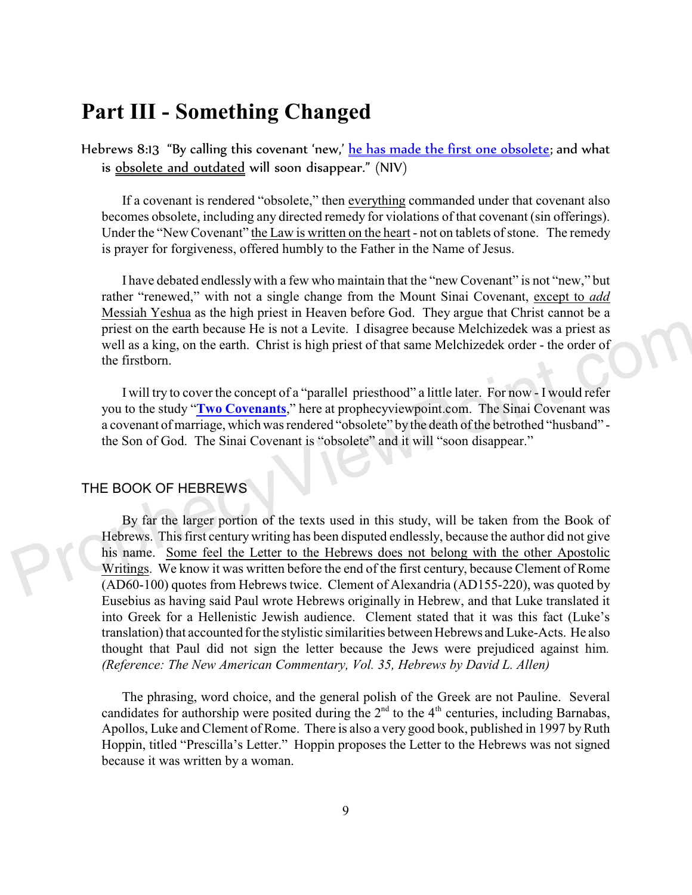# **Part III - Something Changed**

Hebrews 8:13 "By calling this covenant 'new,' he has made the first one obsolete; and what is obsolete and outdated will soon disappear." (NIV)

If a covenant is rendered "obsolete," then everything commanded under that covenant also becomes obsolete, including any directed remedy for violations of that covenant (sin offerings). Under the "New Covenant" the Law is written on the heart - not on tablets of stone. The remedy is prayer for forgiveness, offered humbly to the Father in the Name of Jesus.

I have debated endlessly with a few who maintain that the "new Covenant" is not "new," but rather "renewed," with not a single change from the Mount Sinai Covenant, except to *add* Messiah Yeshua as the high priest in Heaven before God. They argue that Christ cannot be a priest on the earth because He is not a Levite. I disagree because Melchizedek was a priest as well as a king, on the earth. Christ is high priest of that same Melchizedek order - the order of the firstborn.

I will try to cover the concept of a "parallel priesthood" a little later. For now - I would refer you to the study "**[Two Covenants](http://prophecyviewpoint.com/htdocs/40-TWO%20COVENANTS.htm)**," here at prophecyviewpoint.com. The Sinai Covenant was a covenant of marriage, which was rendered "obsolete" by the death of the betrothed "husband" the Son of God. The Sinai Covenant is "obsolete" and it will "soon disappear."

## THE BOOK OF HEBREWS

By far the larger portion of the texts used in this study, will be taken from the Book of Hebrews. This first century writing has been disputed endlessly, because the author did not give his name. Some feel the Letter to the Hebrews does not belong with the other Apostolic Writings. We know it was written before the end of the first century, because Clement of Rome (AD60-100) quotes from Hebrews twice. Clement of Alexandria (AD155-220), was quoted by Eusebius as having said Paul wrote Hebrews originally in Hebrew, and that Luke translated it into Greek for a Hellenistic Jewish audience. Clement stated that it was this fact (Luke's translation) that accounted for the stylistic similarities between Hebrews and Luke-Acts. He also thought that Paul did not sign the letter because the Jews were prejudiced against him*. (Reference: The New American Commentary, Vol. 35, Hebrews by David L. Allen)*

The phrasing, word choice, and the general polish of the Greek are not Pauline. Several candidates for authorship were posited during the  $2<sup>nd</sup>$  to the  $4<sup>th</sup>$  centuries, including Barnabas, Apollos, Luke and Clement of Rome. There is also a very good book, published in 1997 by Ruth Hoppin, titled "Prescilla's Letter." Hoppin proposes the Letter to the Hebrews was not signed because it was written by a woman.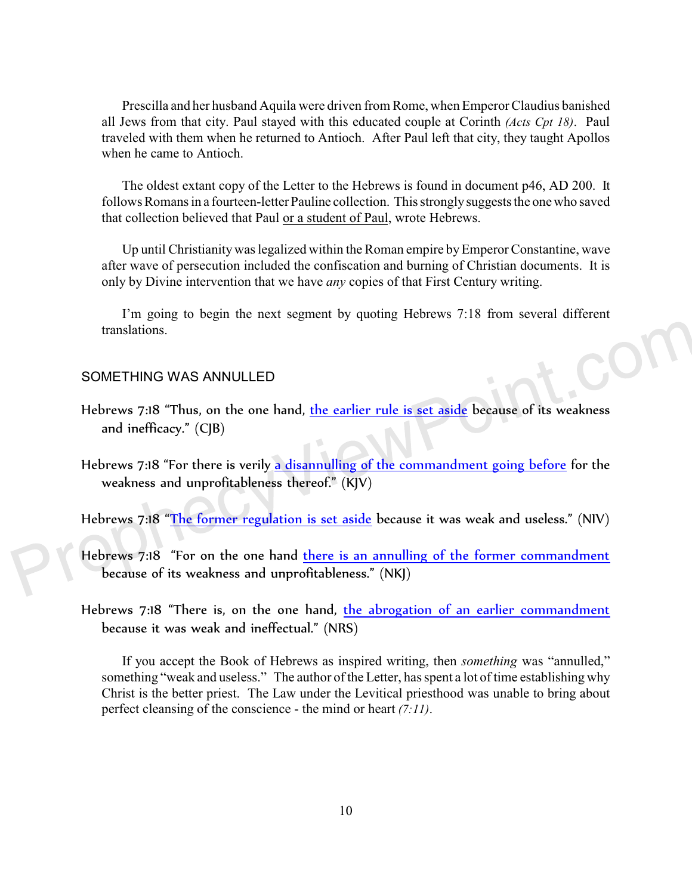Prescilla and her husband Aquila were driven from Rome, when Emperor Claudius banished all Jews from that city. Paul stayed with this educated couple at Corinth *(Acts Cpt 18)*. Paul traveled with them when he returned to Antioch. After Paul left that city, they taught Apollos when he came to Antioch.

The oldest extant copy of the Letter to the Hebrews is found in document p46, AD 200. It follows Romans in a fourteen-letter Pauline collection. This strongly suggests the one who saved that collection believed that Paul or a student of Paul, wrote Hebrews.

Up until Christianity was legalized within the Roman empire by Emperor Constantine, wave after wave of persecution included the confiscation and burning of Christian documents. It is only by Divine intervention that we have *any* copies of that First Century writing.

I'm going to begin the next segment by quoting Hebrews 7:18 from several different translations.

#### SOMETHING WAS ANNULLED

- Hebrews 7:18 "Thus, on the one hand, the earlier rule is set aside because of its weakness and inefficacy." (CJB)
- Hebrews 7:18 "For there is verily a disannulling of the commandment going before for the weakness and unprofitableness thereof." (KJV)

Hebrews 7:18 "The former regulation is set aside because it was weak and useless." (NIV)

- Hebrews 7:18 "For on the one hand there is an annulling of the former commandment because of its weakness and unprofitableness." (NKJ)
- Hebrews 7:18 "There is, on the one hand, the abrogation of an earlier commandment because it was weak and ineffectual." (NRS)

If you accept the Book of Hebrews as inspired writing, then *something* was "annulled," something "weak and useless." The author of the Letter, has spent a lot of time establishing why Christ is the better priest. The Law under the Levitical priesthood was unable to bring about perfect cleansing of the conscience - the mind or heart *(7:11)*.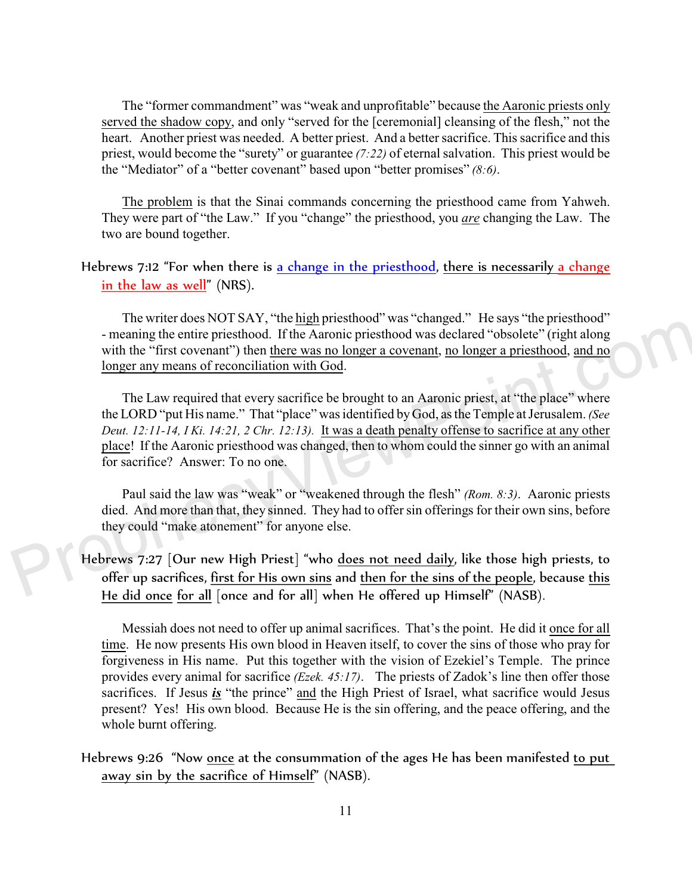The "former commandment" was "weak and unprofitable" because the Aaronic priests only served the shadow copy, and only "served for the [ceremonial] cleansing of the flesh," not the heart. Another priest was needed. A better priest. And a better sacrifice. This sacrifice and this priest, would become the "surety" or guarantee *(7:22)* of eternal salvation. This priest would be the "Mediator" of a "better covenant" based upon "better promises" *(8:6)*.

The problem is that the Sinai commands concerning the priesthood came from Yahweh. They were part of "the Law." If you "change" the priesthood, you *are* changing the Law. The two are bound together.

## Hebrews 7:12 "For when there is a change in the priesthood, there is necessarily a change <u>in the law as well</u>" (NRS).

The writer does NOT SAY, "the high priesthood" was "changed." He says "the priesthood" - meaning the entire priesthood. If the Aaronic priesthood was declared "obsolete" (right along with the "first covenant") then there was no longer a covenant, no longer a priesthood, and no longer any means of reconciliation with God.

The Law required that every sacrifice be brought to an Aaronic priest, at "the place" where the LORD "put His name." That "place" was identified by God, as the Temple at Jerusalem. *(See Deut. 12:11-14, I Ki. 14:21, 2 Chr. 12:13).* It was a death penalty offense to sacrifice at any other place! If the Aaronic priesthood was changed, then to whom could the sinner go with an animal for sacrifice? Answer: To no one.

Paul said the law was "weak" or "weakened through the flesh" *(Rom. 8:3)*. Aaronic priests died. And more than that, they sinned. They had to offer sin offerings for their own sins, before they could "make atonement" for anyone else.

Hebrews 7:27 [Our new High Priest] "who does not need daily, like those high priests, to offer up sacrifices, first for His own sins and then for the sins of the people, because this He did once for all [once and for all] when He offered up Himself" (NASB).

Messiah does not need to offer up animal sacrifices. That's the point. He did it once for all time. He now presents His own blood in Heaven itself, to cover the sins of those who pray for forgiveness in His name. Put this together with the vision of Ezekiel's Temple. The prince provides every animal for sacrifice *(Ezek. 45:17)*. The priests of Zadok's line then offer those sacrifices. If Jesus *is* "the prince" and the High Priest of Israel, what sacrifice would Jesus present? Yes! His own blood. Because He is the sin offering, and the peace offering, and the whole burnt offering.

## Hebrews 9:26 "Now once at the consummation of the ages He has been manifested to put away sin by the sacrifice of Himself" (NASB).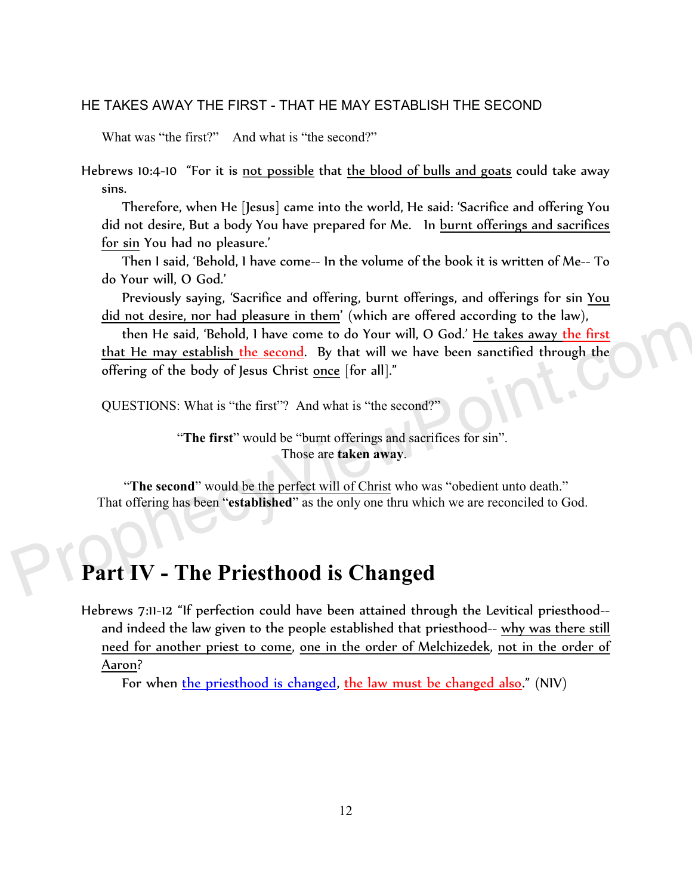## HE TAKES AWAY THE FIRST - THAT HE MAY ESTABLISH THE SECOND

What was "the first?" And what is "the second?"

Hebrews 10:4-10 "For it is not possible that the blood of bulls and goats could take away sins.

Therefore, when He [Jesus] came into the world, He said: 'Sacrifice and offering You did not desire, But a body You have prepared for Me. In burnt offerings and sacrifices for sin You had no pleasure.'

Then I said, 'Behold, I have come-- In the volume of the book it is written of Me-- To do Your will, O God.'

Previously saying, 'Sacrifice and offering, burnt offerings, and offerings for sin You did not desire, nor had pleasure in them' (which are offered according to the law),

then He said, 'Behold, I have come to do Your will, O God.' He takes away the first that He may establish the second. By that will we have been sanctified through the offering of the body of Jesus Christ once [for all]."

QUESTIONS: What is "the first"? And what is "the second?"

"The first" would be "burnt offerings and sacrifices for sin". Those are **taken away**.

"**The second**" would be the perfect will of Christ who was "obedient unto death." That offering has been "**established**" as the only one thru which we are reconciled to God.

# **Part IV - The Priesthood is Changed**

Hebrews 7:11-12 "If perfection could have been attained through the Levitical priesthood- and indeed the law given to the people established that priesthood-- why was there still need for another priest to come, one in the order of Melchizedek, not in the order of Aaron?

For when <u>the priesthood is changed, the law must be changed also</u>." (NIV)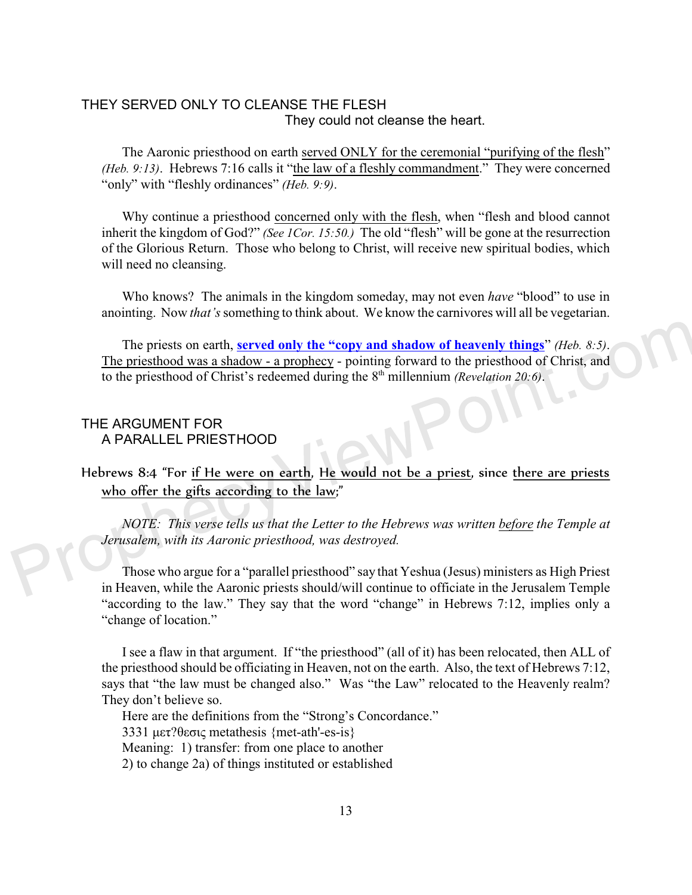## THEY SERVED ONLY TO CLEANSE THE FLESH They could not cleanse the heart.

The Aaronic priesthood on earth served ONLY for the ceremonial "purifying of the flesh" *(Heb. 9:13)*. Hebrews 7:16 calls it "the law of a fleshly commandment." They were concerned "only" with "fleshly ordinances" *(Heb. 9:9)*.

Why continue a priesthood concerned only with the flesh, when "flesh and blood cannot inherit the kingdom of God?" *(See 1Cor. 15:50.)* The old "flesh" will be gone at the resurrection of the Glorious Return. Those who belong to Christ, will receive new spiritual bodies, which will need no cleansing.

Who knows? The animals in the kingdom someday, may not even *have* "blood" to use in anointing. Now *that's* something to think about. We know the carnivores will all be vegetarian.

The priests on earth, **served only the "copy and shadow of heavenly things**" *(Heb. 8:5)*. The priesthood was a shadow - a prophecy - pointing forward to the priesthood of Christ, and to the priesthood of Christ's redeemed during the 8th millennium *(Revelation 20:6)*.

## THE ARGUMENT FOR A PARALLEL PRIESTHOOD

Hebrews 8:4 "For if He were on earth, He would not be a priest, since there are priests who offer the gifts according to the law;"

*NOTE: This verse tells us that the Letter to the Hebrews was written before the Temple at Jerusalem, with its Aaronic priesthood, was destroyed.* 

Those who argue for a "parallel priesthood" say that Yeshua (Jesus) ministers as High Priest in Heaven, while the Aaronic priests should/will continue to officiate in the Jerusalem Temple "according to the law." They say that the word "change" in Hebrews 7:12, implies only a "change of location."

I see a flaw in that argument. If "the priesthood" (all of it) has been relocated, then ALL of the priesthood should be officiating in Heaven, not on the earth. Also, the text of Hebrews 7:12, says that "the law must be changed also." Was "the Law" relocated to the Heavenly realm? They don't believe so.

Here are the definitions from the "Strong's Concordance."

3331  $\mu \epsilon \tau$ ? $\theta \epsilon \sigma \zeta$  metathesis {met-ath'-es-is}

Meaning: 1) transfer: from one place to another

2) to change 2a) of things instituted or established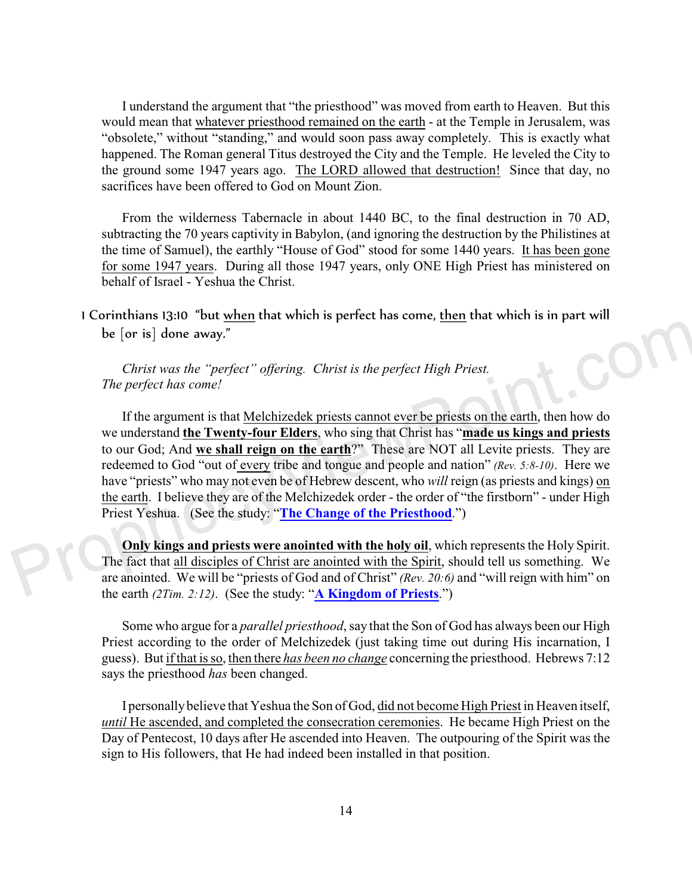I understand the argument that "the priesthood" was moved from earth to Heaven. But this would mean that whatever priesthood remained on the earth - at the Temple in Jerusalem, was "obsolete," without "standing," and would soon pass away completely. This is exactly what happened. The Roman general Titus destroyed the City and the Temple. He leveled the City to the ground some 1947 years ago. The LORD allowed that destruction! Since that day, no sacrifices have been offered to God on Mount Zion.

From the wilderness Tabernacle in about 1440 BC, to the final destruction in 70 AD, subtracting the 70 years captivity in Babylon, (and ignoring the destruction by the Philistines at the time of Samuel), the earthly "House of God" stood for some 1440 years. It has been gone for some 1947 years. During all those 1947 years, only ONE High Priest has ministered on behalf of Israel - Yeshua the Christ.

1 Corinthians 13:10 "but when that which is perfect has come, then that which is in part will be [or is] done away."

*Christ was the "perfect" offering. Christ is the perfect High Priest. The perfect has come!*

If the argument is that Melchizedek priests cannot ever be priests on the earth, then how do we understand **the Twenty-four Elders**, who sing that Christ has "**made us kings and priests** to our God; And **we shall reign on the earth**?" These are NOT all Levite priests. They are redeemed to God "out of every tribe and tongue and people and nation" *(Rev. 5:8-10)*. Here we have "priests" who may not even be of Hebrew descent, who *will* reign (as priests and kings) on the earth. I believe they are of the Melchizedek order - the order of "the firstborn" - under High Priest Yeshua. (See the study: "**[The Change of the Priesthood](https://www.prophecyviewpoint.com/htdocs/21a-The%20Change%20of%20Priesthood.htm)**.")

**Only kings and priests were anointed with the holy oil**, which represents the Holy Spirit. The fact that all disciples of Christ are anointed with the Spirit, should tell us something. We are anointed. We will be "priests of God and of Christ" *(Rev. 20:6)* and "will reign with him" on the earth *(2Tim. 2:12)*. (See the study: "**[A Kingdom of Priests](http://prophecyviewpoint.com/htdocs/20-KINGDOM%20OF%20PRIESTS.htm)**.")

Some who argue for a *parallel priesthood*, say that the Son of God has always been our High Priest according to the order of Melchizedek (just taking time out during His incarnation, I guess). But if that is so, then there *has been no change* concerning the priesthood. Hebrews 7:12 says the priesthood *has* been changed.

I personally believe that Yeshua the Son of God, did not become High Priest in Heaven itself, *until* He ascended, and completed the consecration ceremonies. He became High Priest on the Day of Pentecost, 10 days after He ascended into Heaven. The outpouring of the Spirit was the sign to His followers, that He had indeed been installed in that position.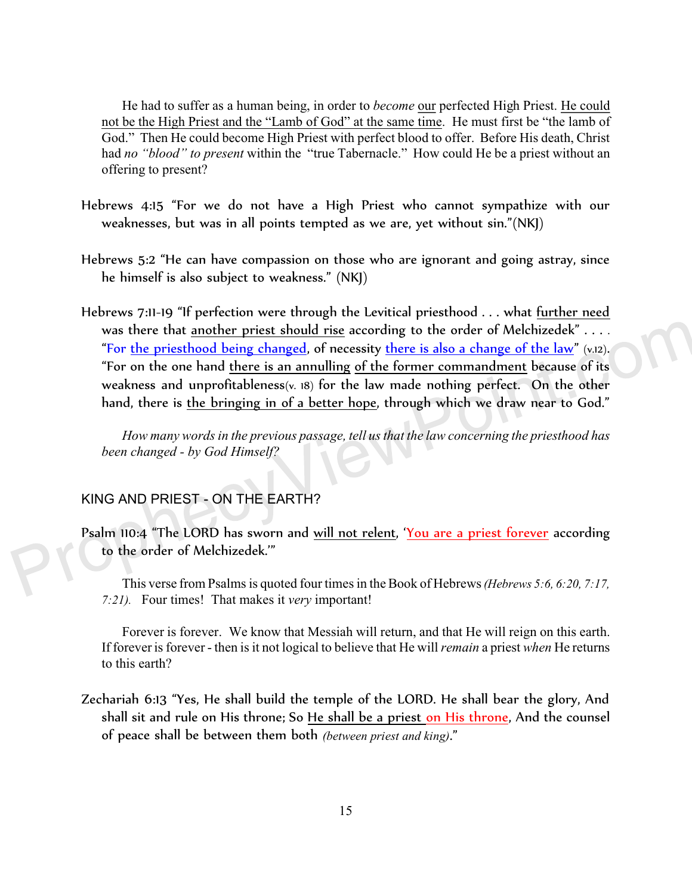He had to suffer as a human being, in order to *become* our perfected High Priest. He could not be the High Priest and the "Lamb of God" at the same time. He must first be "the lamb of God." Then He could become High Priest with perfect blood to offer. Before His death, Christ had *no "blood" to present* within the "true Tabernacle." How could He be a priest without an offering to present?

- Hebrews 4:15 "For we do not have a High Priest who cannot sympathize with our weaknesses, but was in all points tempted as we are, yet without sin."(NKJ)
- Hebrews 5:2 "He can have compassion on those who are ignorant and going astray, since he himself is also subject to weakness." (NKJ)
- Hebrews 7:11-19 "If perfection were through the Levitical priesthood . . . what further need was there that another priest should rise according to the order of Melchizedek" . . . . "For the priesthood being changed, of necessity there is also a change of the law" *(v.12)*. "For on the one hand there is an annulling of the former commandment because of its weakness and unprofitableness*(v. 18)* for the law made nothing perfect. On the other hand, there is the bringing in of a better hope, through which we draw near to God."

*How many words in the previous passage, tell us that the law concerning the priesthood has been changed - by God Himself?*

## KING AND PRIEST - ON THE EARTH?

Psalm 110:4 "The LORD has sworn and <u>will not relent</u>, '<u>You are a priest forever</u> according to the order of Melchizedek.'"

This verse from Psalms is quoted four times in the Book of Hebrews *(Hebrews 5:6, 6:20, 7:17, 7:21).* Four times! That makes it *very* important!

Forever is forever. We know that Messiah will return, and that He will reign on this earth. If forever is forever - then is it not logical to believe that He will *remain* a priest *when* He returns to this earth?

Zechariah 6:13 "Yes, He shall build the temple of the LORD. He shall bear the glory, And shall sit and rule on His throne; So He shall be a priest <u>on His throne</u>, And the counsel of peace shall be between them both *(between priest and king)*."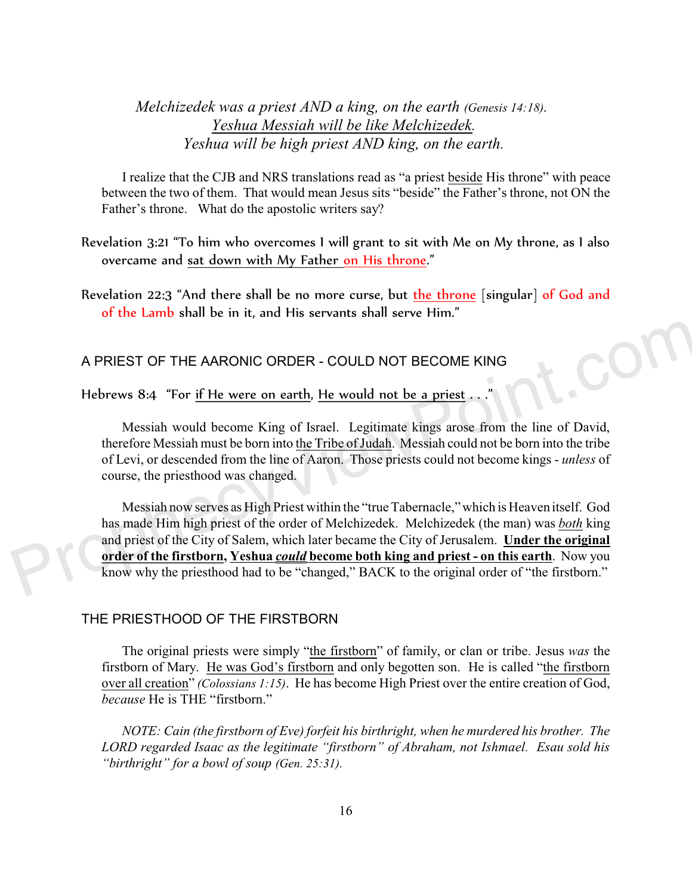*Melchizedek was a priest AND a king, on the earth (Genesis 14:18). Yeshua Messiah will be like Melchizedek. Yeshua will be high priest AND king, on the earth.* 

I realize that the CJB and NRS translations read as "a priest beside His throne" with peace between the two of them. That would mean Jesus sits "beside" the Father's throne, not ON the Father's throne. What do the apostolic writers say?

Revelation 3:21 "To him who overcomes I will grant to sit with Me on My throne, as I also overcame and sat down with My Father on His throne."

Revelation 22:3 "And there shall be no more curse, but the throne [singular] of God and of the Lamb shall be in it, and His servants shall serve Him."

## A PRIEST OF THE AARONIC ORDER - COULD NOT BECOME KING

Hebrews 8:4 "For if He were on earth, He would not be a priest . . .

Messiah would become King of Israel. Legitimate kings arose from the line of David, therefore Messiah must be born into the Tribe of Judah. Messiah could not be born into the tribe of Levi, or descended from the line of Aaron. Those priests could not become kings - *unless* of course, the priesthood was changed.

 $\mathbf{C}_\mathbf{O}$ 

Messiah now serves as High Priest within the "true Tabernacle," which is Heaven itself. God has made Him high priest of the order of Melchizedek. Melchizedek (the man) was *both* king and priest of the City of Salem, which later became the City of Jerusalem. **Under the original order of the firstborn, Yeshua** *could* **become both king and priest - on this earth**. Now you know why the priesthood had to be "changed," BACK to the original order of "the firstborn."

#### THE PRIESTHOOD OF THE FIRSTBORN

The original priests were simply "the firstborn" of family, or clan or tribe. Jesus *was* the firstborn of Mary. He was God's firstborn and only begotten son. He is called "the firstborn over all creation" *(Colossians 1:15)*. He has become High Priest over the entire creation of God, *because* He is THE "firstborn."

*NOTE: Cain (the firstborn of Eve) forfeit his birthright, when he murdered his brother. The LORD regarded Isaac as the legitimate "firstborn" of Abraham, not Ishmael. Esau sold his "birthright" for a bowl of soup (Gen. 25:31).*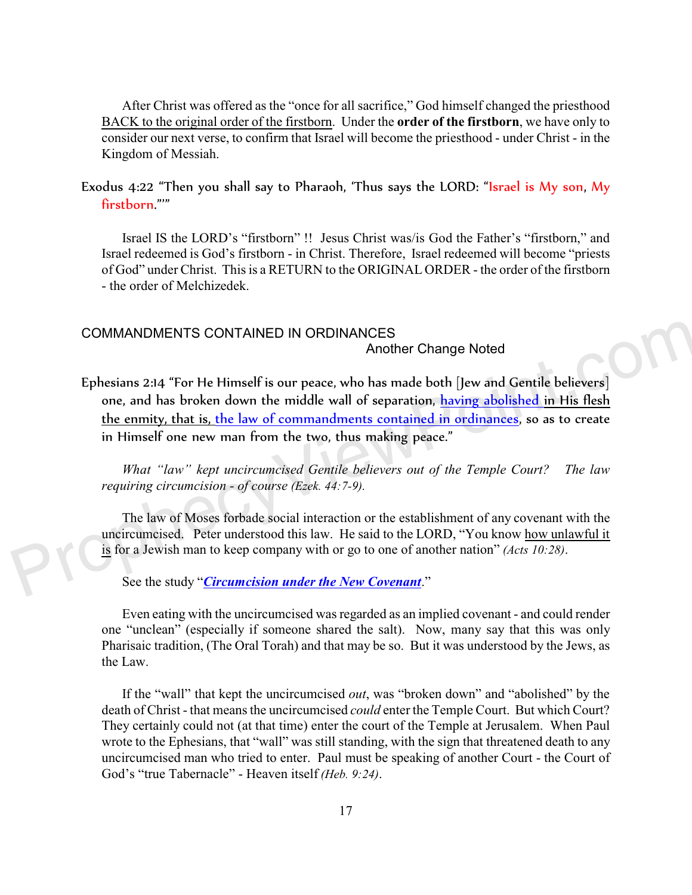After Christ was offered as the "once for all sacrifice," God himself changed the priesthood BACK to the original order of the firstborn. Under the **order of the firstborn**, we have only to consider our next verse, to confirm that Israel will become the priesthood - under Christ - in the Kingdom of Messiah.

Exodus 4:22 "Then you shall say to Pharaoh, 'Thus says the LORD: "Israel is My son, My firstborn."'"

Israel IS the LORD's "firstborn" !! Jesus Christ was/is God the Father's "firstborn," and Israel redeemed is God's firstborn - in Christ. Therefore, Israel redeemed will become "priests of God" under Christ. This is a RETURN to the ORIGINAL ORDER - the order of the firstborn - the order of Melchizedek.

### COMMANDMENTS CONTAINED IN ORDINANCES

Another Change Noted

Ephesians 2:14 "For He Himself is our peace, who has made both [Jew and Gentile believers] one, and has broken down the middle wall of separation, having abolished in His flesh the enmity, that is, the law of commandments contained in ordinances, so as to create in Himself one new man from the two, thus making peace."

*What "law" kept uncircumcised Gentile believers out of the Temple Court? The law requiring circumcision - of course (Ezek. 44:7-9).* 

The law of Moses forbade social interaction or the establishment of any covenant with the uncircumcised. Peter understood this law. He said to the LORD, "You know how unlawful it is for a Jewish man to keep company with or go to one of another nation" *(Acts 10:28)*.

See the study "*[Circumcision under the New Covenant](https://www.prophecyviewpoint.com/htdocs/40hc-Circumcision.htm)*."

Even eating with the uncircumcised was regarded as an implied covenant - and could render one "unclean" (especially if someone shared the salt). Now, many say that this was only Pharisaic tradition, (The Oral Torah) and that may be so. But it was understood by the Jews, as the Law.

If the "wall" that kept the uncircumcised *out*, was "broken down" and "abolished" by the death of Christ - that means the uncircumcised *could* enter the Temple Court. But which Court? They certainly could not (at that time) enter the court of the Temple at Jerusalem. When Paul wrote to the Ephesians, that "wall" was still standing, with the sign that threatened death to any uncircumcised man who tried to enter. Paul must be speaking of another Court - the Court of God's "true Tabernacle" - Heaven itself *(Heb. 9:24)*.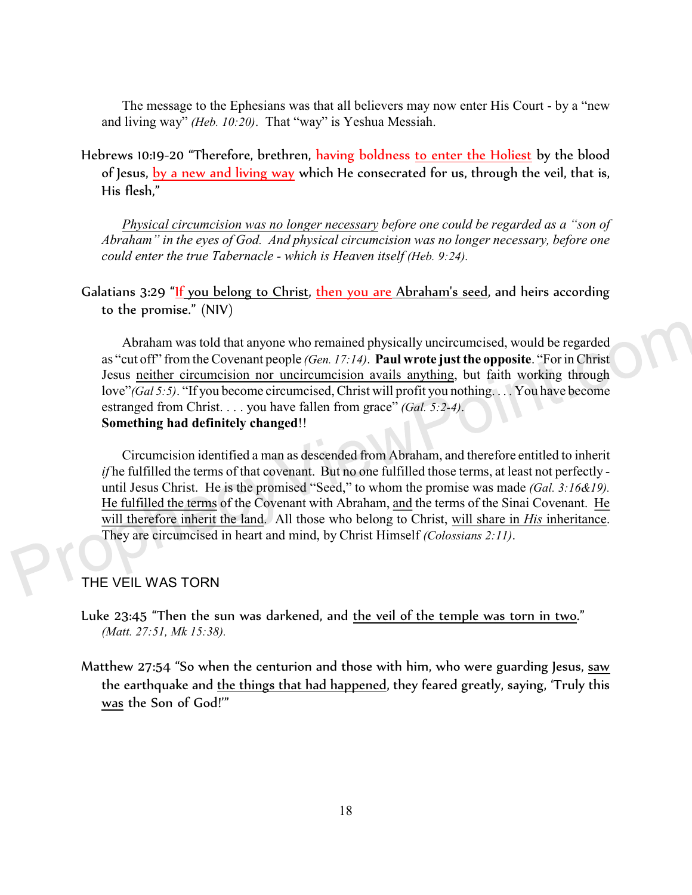The message to the Ephesians was that all believers may now enter His Court - by a "new and living way" *(Heb. 10:20)*. That "way" is Yeshua Messiah.

Hebrews 10:19-20 "Therefore, brethren, having boldness to enter the Holiest by the blood of Jesus, by a new and living way which He consecrated for us, through the veil, that is, His flesh,"

*Physical circumcision was no longer necessary before one could be regarded as a "son of Abraham" in the eyes of God. And physical circumcision was no longer necessary, before one could enter the true Tabernacle - which is Heaven itself (Heb. 9:24).*

Galatians 3:29 "If you belong to Christ, then you are Abraham's seed, and heirs according to the promise." (NIV)

Abraham was told that anyone who remained physically uncircumcised, would be regarded as "cut off" from the Covenant people *(Gen. 17:14)*. **Paul wrote just the opposite**. "For in Christ Jesus neither circumcision nor uncircumcision avails anything, but faith working through love"*(Gal 5:5)*. "If you become circumcised, Christ will profit you nothing. . . . You have become estranged from Christ. . . . you have fallen from grace" *(Gal. 5:2-4)*. **Something had definitely changed**!!

Circumcision identified a man as descended from Abraham, and therefore entitled to inherit *if* he fulfilled the terms of that covenant. But no one fulfilled those terms, at least not perfectly until Jesus Christ. He is the promised "Seed," to whom the promise was made *(Gal. 3:16&19).* He fulfilled the terms of the Covenant with Abraham, and the terms of the Sinai Covenant. He will therefore inherit the land. All those who belong to Christ, will share in *His* inheritance. They are circumcised in heart and mind, by Christ Himself *(Colossians 2:11)*.

THE VEIL WAS TORN

Luke 23:45 "Then the sun was darkened, and the veil of the temple was torn in two." *(Matt. 27:51, Mk 15:38).* 

Matthew 27:54 "So when the centurion and those with him, who were guarding Jesus, saw the earthquake and the things that had happened, they feared greatly, saying, 'Truly this was the Son of God!'"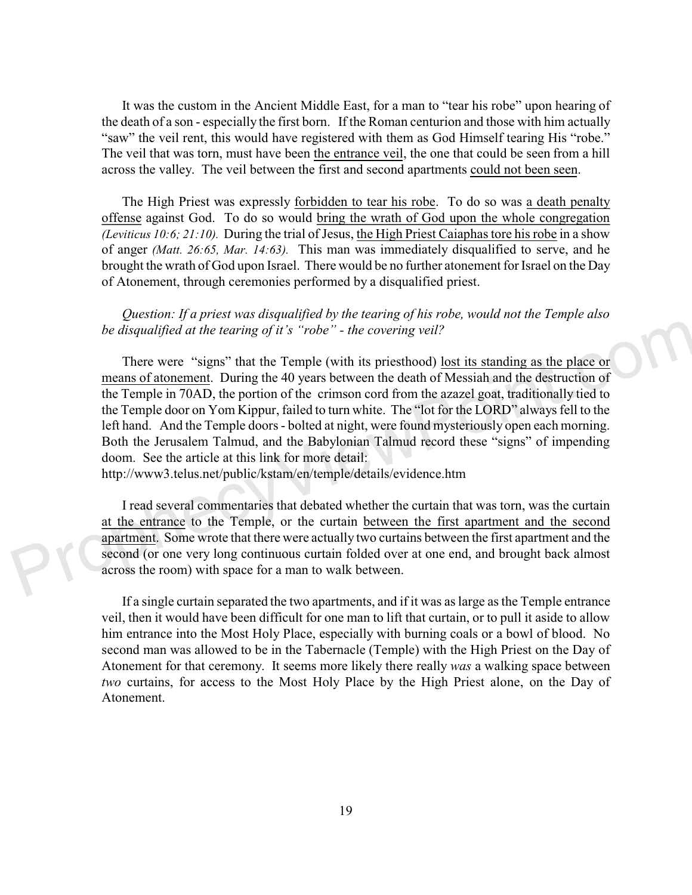It was the custom in the Ancient Middle East, for a man to "tear his robe" upon hearing of the death of a son - especially the first born. If the Roman centurion and those with him actually "saw" the veil rent, this would have registered with them as God Himself tearing His "robe." The veil that was torn, must have been the entrance veil, the one that could be seen from a hill across the valley. The veil between the first and second apartments could not been seen.

The High Priest was expressly forbidden to tear his robe. To do so was a death penalty offense against God. To do so would bring the wrath of God upon the whole congregation *(Leviticus 10:6; 21:10).* During the trial of Jesus, the High Priest Caiaphas tore his robe in a show of anger *(Matt. 26:65, Mar. 14:63).* This man was immediately disqualified to serve, and he brought the wrath of God upon Israel. There would be no further atonement for Israel on the Day of Atonement, through ceremonies performed by a disqualified priest.

*Question: If a priest was disqualified by the tearing of his robe, would not the Temple also be disqualified at the tearing of it's "robe" - the covering veil?*

There were "signs" that the Temple (with its priesthood) lost its standing as the place or means of atonement. During the 40 years between the death of Messiah and the destruction of the Temple in 70AD, the portion of the crimson cord from the azazel goat, traditionally tied to the Temple door on Yom Kippur, failed to turn white. The "lot for the LORD" always fell to the left hand. And the Temple doors - bolted at night, were found mysteriously open each morning. Both the Jerusalem Talmud, and the Babylonian Talmud record these "signs" of impending doom. See the article at this link for more detail:

http://www3.telus.net/public/kstam/en/temple/details/evidence.htm

I read several commentaries that debated whether the curtain that was torn, was the curtain at the entrance to the Temple, or the curtain between the first apartment and the second apartment. Some wrote that there were actually two curtains between the first apartment and the second (or one very long continuous curtain folded over at one end, and brought back almost across the room) with space for a man to walk between.

If a single curtain separated the two apartments, and if it was as large as the Temple entrance veil, then it would have been difficult for one man to lift that curtain, or to pull it aside to allow him entrance into the Most Holy Place, especially with burning coals or a bowl of blood. No second man was allowed to be in the Tabernacle (Temple) with the High Priest on the Day of Atonement for that ceremony. It seems more likely there really *was* a walking space between *two* curtains, for access to the Most Holy Place by the High Priest alone, on the Day of Atonement.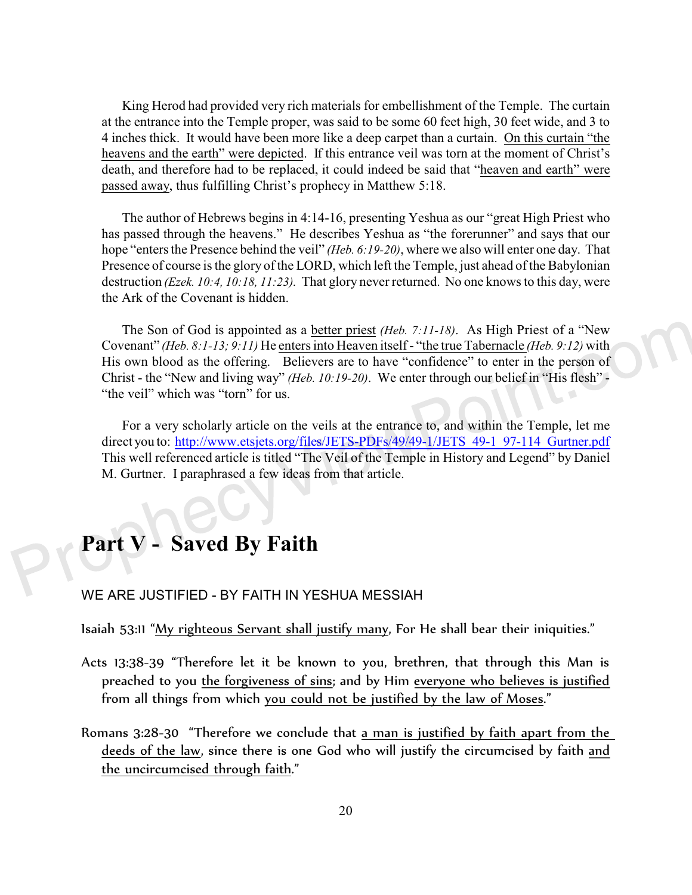King Herod had provided very rich materials for embellishment of the Temple. The curtain at the entrance into the Temple proper, was said to be some 60 feet high, 30 feet wide, and 3 to 4 inches thick. It would have been more like a deep carpet than a curtain. On this curtain "the heavens and the earth" were depicted. If this entrance veil was torn at the moment of Christ's death, and therefore had to be replaced, it could indeed be said that "heaven and earth" were passed away, thus fulfilling Christ's prophecy in Matthew 5:18.

The author of Hebrews begins in 4:14-16, presenting Yeshua as our "great High Priest who has passed through the heavens." He describes Yeshua as "the forerunner" and says that our hope "enters the Presence behind the veil" *(Heb. 6:19-20)*, where we also will enter one day. That Presence of course is the glory of the LORD, which left the Temple, just ahead of the Babylonian destruction *(Ezek. 10:4, 10:18, 11:23).* That glory never returned. No one knows to this day, were the Ark of the Covenant is hidden.

The Son of God is appointed as a better priest *(Heb. 7:11-18)*. As High Priest of a "New Covenant" *(Heb. 8:1-13; 9:11)* He enters into Heaven itself - "the true Tabernacle *(Heb. 9:12)* with His own blood as the offering. Believers are to have "confidence" to enter in the person of Christ - the "New and living way" *(Heb. 10:19-20)*. We enter through our belief in "His flesh" - "the veil" which was "torn" for us.

For a very scholarly article on the veils at the entrance to, and within the Temple, let me direct you to: http://www.etsjets.org/files/JETS-PDFs/49/49-1/JETS 49-1 97-114 Gurtner.pdf This well referenced article is titled "The Veil of the Temple in History and Legend" by Daniel M. Gurtner. I paraphrased a few ideas from that article.

# **Part V - Saved By Faith**

### WE ARE JUSTIFIED - BY FAITH IN YESHUA MESSIAH

Isaiah 53:11 "My righteous Servant shall justify many, For He shall bear their iniquities."

- Acts 13:38-39 "Therefore let it be known to you, brethren, that through this Man is preached to you the forgiveness of sins; and by Him everyone who believes is justified from all things from which you could not be justified by the law of Moses."
- Romans 3:28-30 "Therefore we conclude that a man is justified by faith apart from the deeds of the law, since there is one God who will justify the circumcised by faith and the uncircumcised through faith."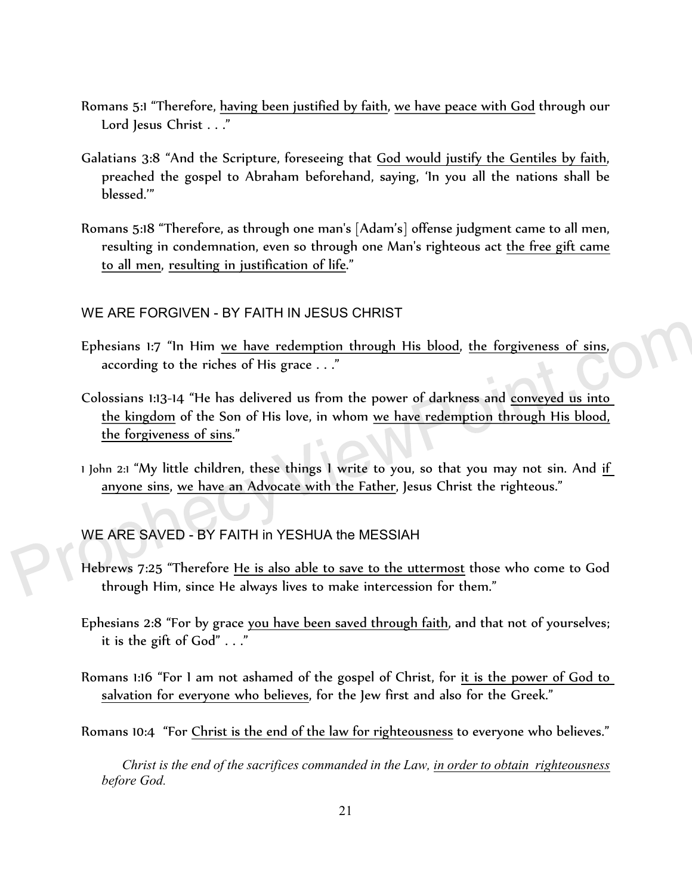- Romans 5:1 "Therefore, having been justified by faith, we have peace with God through our Lord Jesus Christ . . ."
- Galatians 3:8 "And the Scripture, foreseeing that God would justify the Gentiles by faith, preached the gospel to Abraham beforehand, saying, 'In you all the nations shall be blessed.'"
- Romans 5:18 "Therefore, as through one man's [Adam's] offense judgment came to all men, resulting in condemnation, even so through one Man's righteous act the free gift came to all men, resulting in justification of life."

## WE ARE FORGIVEN - BY FAITH IN JESUS CHRIST

- Ephesians 1:7 "In Him we have redemption through His blood, the forgiveness of sins, according to the riches of His grace . . ."
- Colossians 1:13-14 "He has delivered us from the power of darkness and conveyed us into the kingdom of the Son of His love, in whom we have redemption through His blood, the forgiveness of sins."
- 1 John 2:1 "My little children, these things I write to you, so that you may not sin. And if anyone sins, we have an Advocate with the Father, Jesus Christ the righteous."

## WE ARE SAVED - BY FAITH in YESHUA the MESSIAH

- Hebrews 7:25 "Therefore He is also able to save to the uttermost those who come to God through Him, since He always lives to make intercession for them."
- Ephesians 2:8 "For by grace you have been saved through faith, and that not of yourselves; it is the gift of God" . . ."
- Romans 1:16 "For I am not ashamed of the gospel of Christ, for it is the power of God to salvation for everyone who believes, for the Jew first and also for the Greek."
- Romans 10:4 "For Christ is the end of the law for righteousness to everyone who believes."

*Christ is the end of the sacrifices commanded in the Law, in order to obtain righteousness before God.*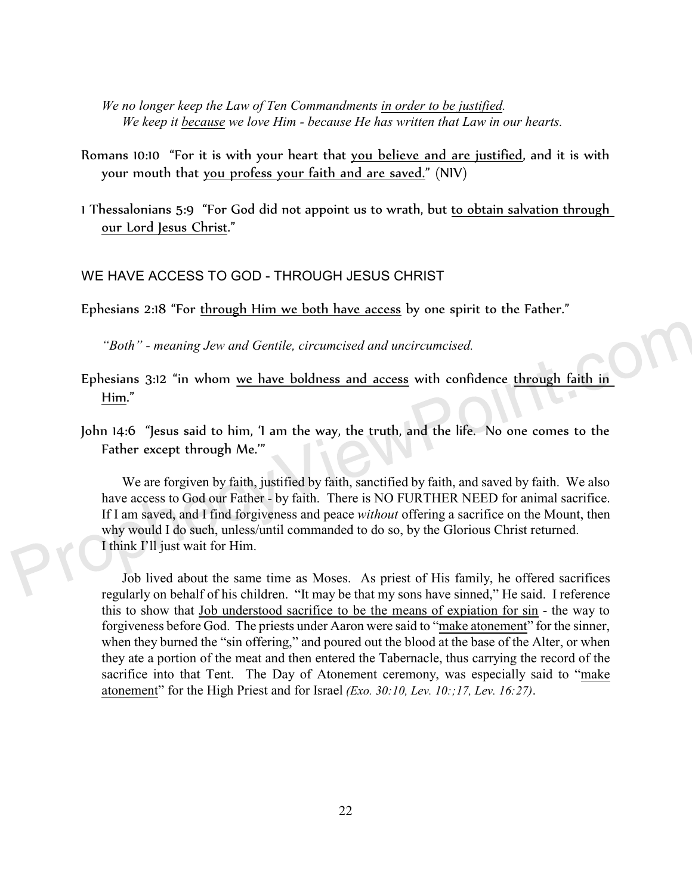*We no longer keep the Law of Ten Commandments in order to be justified. We keep it because we love Him - because He has written that Law in our hearts.* 

- Romans 10:10 "For it is with your heart that you believe and are justified, and it is with your mouth that you profess your faith and are saved." (NIV)
- 1 Thessalonians 5:9 "For God did not appoint us to wrath, but to obtain salvation through our Lord Jesus Christ."

## WE HAVE ACCESS TO GOD - THROUGH JESUS CHRIST

Ephesians 2:18 "For through Him we both have access by one spirit to the Father."

*"Both" - meaning Jew and Gentile, circumcised and uncircumcised.* 

- Ephesians 3:12 "in whom we have boldness and access with confidence through faith in Him."
- John 14:6 "Jesus said to him, 'I am the way, the truth, and the life. No one comes to the Father except through Me.'"

We are forgiven by faith, justified by faith, sanctified by faith, and saved by faith. We also have access to God our Father - by faith. There is NO FURTHER NEED for animal sacrifice. If I am saved, and I find forgiveness and peace *without* offering a sacrifice on the Mount, then why would I do such, unless/until commanded to do so, by the Glorious Christ returned. I think I'll just wait for Him.

Job lived about the same time as Moses. As priest of His family, he offered sacrifices regularly on behalf of his children. "It may be that my sons have sinned," He said. I reference this to show that Job understood sacrifice to be the means of expiation for sin - the way to forgiveness before God. The priests under Aaron were said to "make atonement" for the sinner, when they burned the "sin offering," and poured out the blood at the base of the Alter, or when they ate a portion of the meat and then entered the Tabernacle, thus carrying the record of the sacrifice into that Tent. The Day of Atonement ceremony, was especially said to "make atonement" for the High Priest and for Israel *(Exo. 30:10, Lev. 10:;17, Lev. 16:27)*.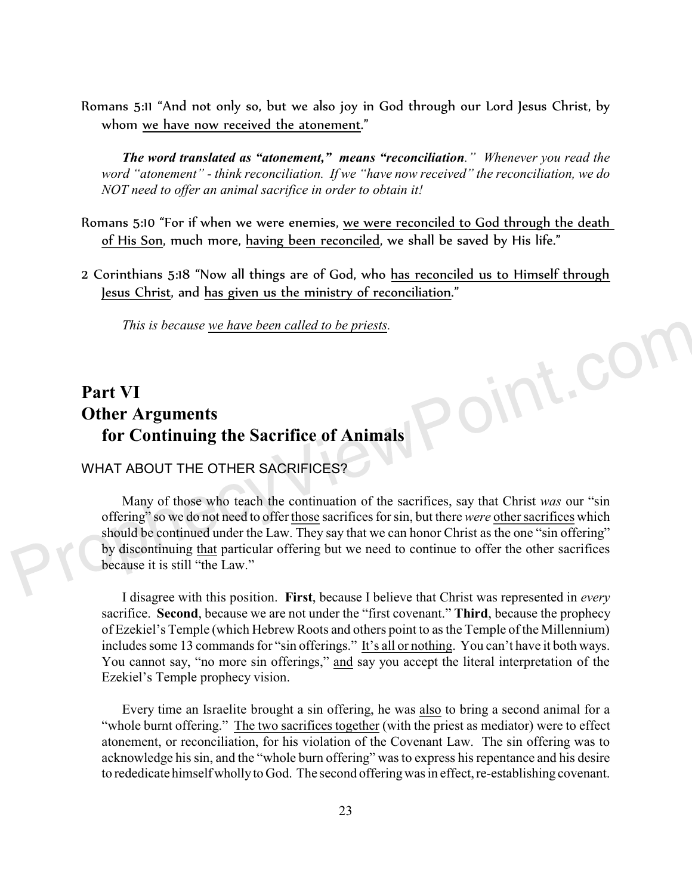Romans 5:11 "And not only so, but we also joy in God through our Lord Jesus Christ, by whom we have now received the atonement."

*The word translated as "atonement," means "reconciliation." Whenever you read the word "atonement" - think reconciliation. If we "have now received" the reconciliation, we do NOT need to offer an animal sacrifice in order to obtain it!* 

- Romans 5:10 "For if when we were enemies, we were reconciled to God through the death of His Son, much more, having been reconciled, we shall be saved by His life."
- 2 Corinthians 5:18 "Now all things are of God, who has reconciled us to Himself through Jesus Christ, and has given us the ministry of reconciliation."

*This is because we have been called to be priests.* 

## **Part VI Other Arguments for Continuing the Sacrifice of Animals**

## WHAT ABOUT THE OTHER SACRIFICES?

Many of those who teach the continuation of the sacrifices, say that Christ *was* our "sin offering" so we do not need to offer those sacrifices for sin, but there *were* other sacrifices which should be continued under the Law. They say that we can honor Christ as the one "sin offering" by discontinuing that particular offering but we need to continue to offer the other sacrifices because it is still "the Law."

oint.cor

I disagree with this position. **First**, because I believe that Christ was represented in *every* sacrifice. **Second**, because we are not under the "first covenant." **Third**, because the prophecy of Ezekiel's Temple (which Hebrew Roots and others point to as the Temple of the Millennium) includes some 13 commands for "sin offerings." It's all or nothing. You can't have it both ways. You cannot say, "no more sin offerings," and say you accept the literal interpretation of the Ezekiel's Temple prophecy vision.

Every time an Israelite brought a sin offering, he was also to bring a second animal for a "whole burnt offering." The two sacrifices together (with the priest as mediator) were to effect atonement, or reconciliation, for his violation of the Covenant Law. The sin offering was to acknowledge his sin, and the "whole burn offering" was to express his repentance and his desire to rededicate himself wholly to God. The second offering was in effect, re-establishing covenant.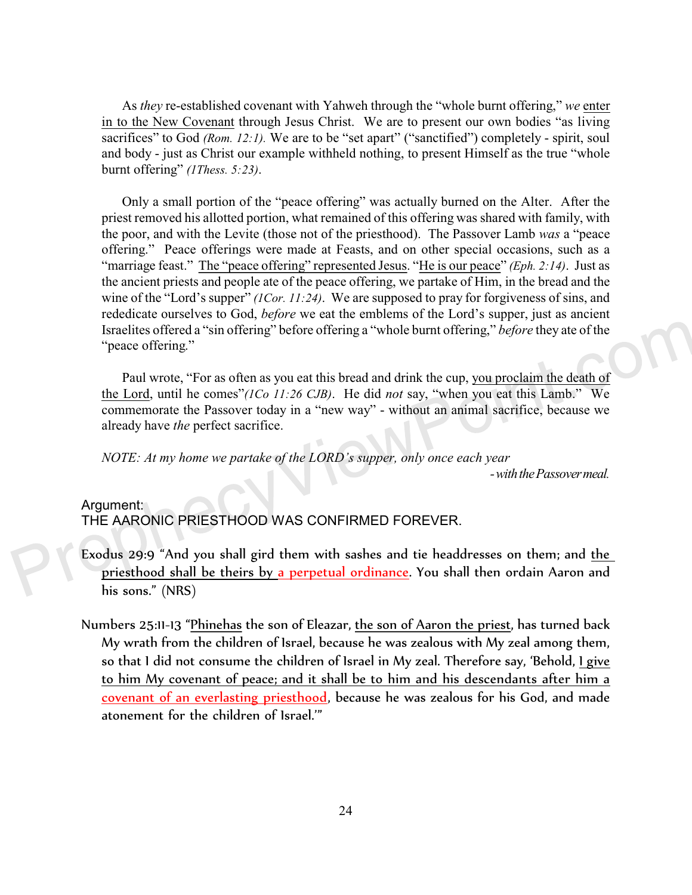As *they* re-established covenant with Yahweh through the "whole burnt offering," *we* enter in to the New Covenant through Jesus Christ. We are to present our own bodies "as living sacrifices" to God *(Rom. 12:1)*. We are to be "set apart" ("sanctified") completely - spirit, soul and body - just as Christ our example withheld nothing, to present Himself as the true "whole burnt offering" *(1Thess. 5:23)*.

Only a small portion of the "peace offering" was actually burned on the Alter. After the priest removed his allotted portion, what remained of this offering was shared with family, with the poor, and with the Levite (those not of the priesthood). The Passover Lamb *was* a "peace offering." Peace offerings were made at Feasts, and on other special occasions, such as a "marriage feast." The "peace offering" represented Jesus. "He is our peace" *(Eph. 2:14)*. Just as the ancient priests and people ate of the peace offering, we partake of Him, in the bread and the wine of the "Lord's supper" *(1Cor. 11:24)*. We are supposed to pray for forgiveness of sins, and rededicate ourselves to God, *before* we eat the emblems of the Lord's supper, just as ancient Israelites offered a "sin offering" before offering a "whole burnt offering," *before* they ate of the "peace offering."

Paul wrote, "For as often as you eat this bread and drink the cup, you proclaim the death of the Lord, until he comes"*(1Co 11:26 CJB)*. He did *not* say, "when you eat this Lamb." We commemorate the Passover today in a "new way" - without an animal sacrifice, because we already have *the* perfect sacrifice.

*NOTE: At my home we partake of the LORD's supper, only once each year*

 *- with the Passover meal.*

#### Argument:

THE AARONIC PRIESTHOOD WAS CONFIRMED FOREVER.

- Exodus 29:9 "And you shall gird them with sashes and tie headdresses on them; and the priesthood shall be theirs by a perpetual ordinance. You shall then ordain Aaron and his sons." (NRS)
- Numbers 25:11-13 "Phinehas the son of Eleazar, the son of Aaron the priest, has turned back My wrath from the children of Israel, because he was zealous with My zeal among them, so that I did not consume the children of Israel in My zeal. Therefore say, 'Behold, I give to him My covenant of peace; and it shall be to him and his descendants after him a covenant of an everlasting priesthood, because he was zealous for his God, and made atonement for the children of Israel.'"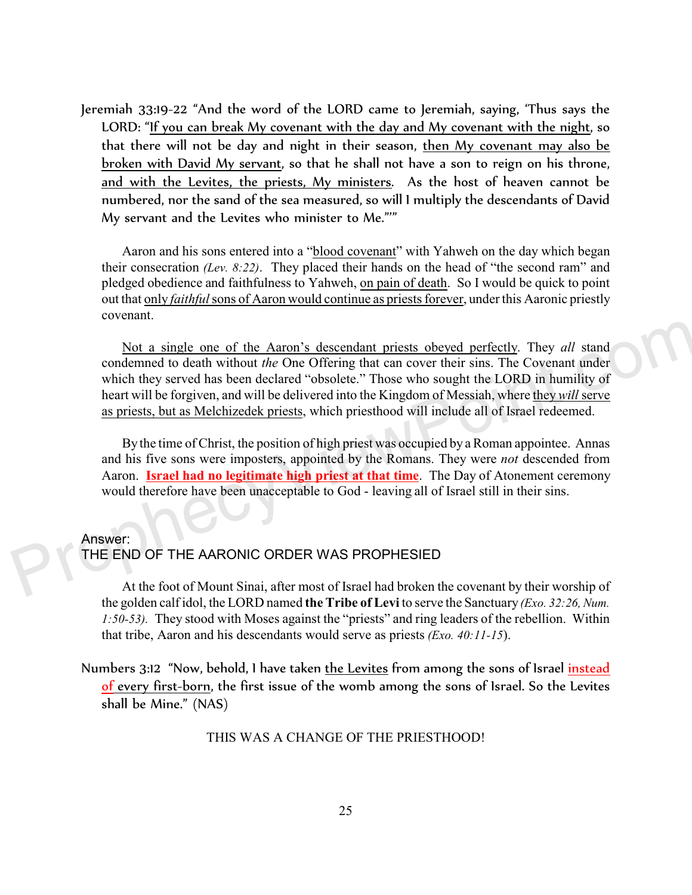Jeremiah 33:19-22 "And the word of the LORD came to Jeremiah, saying, 'Thus says the LORD: "If you can break My covenant with the day and My covenant with the night, so that there will not be day and night in their season, then My covenant may also be broken with David My servant, so that he shall not have a son to reign on his throne, and with the Levites, the priests, My ministers. As the host of heaven cannot be numbered, nor the sand of the sea measured, so will I multiply the descendants of David My servant and the Levites who minister to Me."'"

Aaron and his sons entered into a "blood covenant" with Yahweh on the day which began their consecration *(Lev. 8:22)*. They placed their hands on the head of "the second ram" and pledged obedience and faithfulness to Yahweh, on pain of death. So I would be quick to point out that only *faithful* sons of Aaron would continue as priests forever, under this Aaronic priestly covenant.

Not a single one of the Aaron's descendant priests obeyed perfectly. They *all* stand condemned to death without *the* One Offering that can cover their sins. The Covenant under which they served has been declared "obsolete." Those who sought the LORD in humility of heart will be forgiven, and will be delivered into the Kingdom of Messiah, where they *will* serve as priests, but as Melchizedek priests, which priesthood will include all of Israel redeemed.

By the time of Christ, the position of high priest was occupied by a Roman appointee. Annas and his five sons were imposters, appointed by the Romans. They were *not* descended from Aaron. **Israel had no legitimate high priest at that time**. The Day of Atonement ceremony would therefore have been unacceptable to God - leaving all of Israel still in their sins.

#### Answer:

## THE END OF THE AARONIC ORDER WAS PROPHESIED

At the foot of Mount Sinai, after most of Israel had broken the covenant by their worship of the golden calf idol, the LORD named **the Tribe of Levi** to serve the Sanctuary *(Exo. 32:26, Num. 1:50-53).* They stood with Moses against the "priests" and ring leaders of the rebellion. Within that tribe, Aaron and his descendants would serve as priests *(Exo. 40:11-15*).

Numbers 3:12 "Now, behold, I have taken the Levites from among the sons of Israel instead of every first-born, the first issue of the womb among the sons of Israel. So the Levites shall be Mine." (NAS)

THIS WAS A CHANGE OF THE PRIESTHOOD!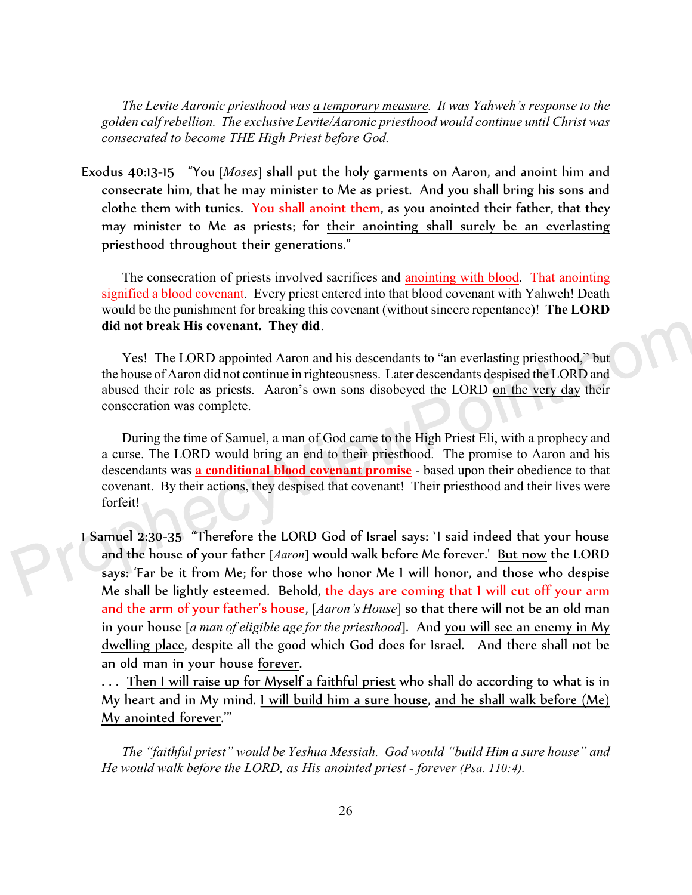*The Levite Aaronic priesthood was a temporary measure. It was Yahweh's response to the golden calf rebellion. The exclusive Levite/Aaronic priesthood would continue until Christ was consecrated to become THE High Priest before God.*

Exodus 40:13-15 "You [*Moses*] shall put the holy garments on Aaron, and anoint him and consecrate him, that he may minister to Me as priest. And you shall bring his sons and clothe them with tunics. <u>You shall anoint them</u>, as you anointed their father, that they may minister to Me as priests; for their anointing shall surely be an everlasting priesthood throughout their generations."

The consecration of priests involved sacrifices and anointing with blood. That anointing signified a blood covenant. Every priest entered into that blood covenant with Yahweh! Death would be the punishment for breaking this covenant (without sincere repentance)! **The LORD did not break His covenant. They did**.

Yes! The LORD appointed Aaron and his descendants to "an everlasting priesthood," but the house of Aaron did not continue in righteousness. Later descendants despised the LORD and abused their role as priests. Aaron's own sons disobeyed the LORD on the very day their consecration was complete.

During the time of Samuel, a man of God came to the High Priest Eli, with a prophecy and a curse. The LORD would bring an end to their priesthood. The promise to Aaron and his descendants was **a conditional blood covenant promise** - based upon their obedience to that covenant. By their actions, they despised that covenant! Their priesthood and their lives were forfeit!

1 Samuel 2:30-35 "Therefore the LORD God of Israel says: `I said indeed that your house and the house of your father [*Aaron*] would walk before Me forever.' But now the LORD says: 'Far be it from Me; for those who honor Me I will honor, and those who despise Me shall be lightly esteemed. Behold, the days are coming that I will cut off your arm and the arm of your father's house, [*Aaron's House*] so that there will not be an old man in your house [*a man of eligible age for the priesthood*]. And you will see an enemy in My dwelling place, despite all the good which God does for Israel. And there shall not be an old man in your house forever.

. . . Then I will raise up for Myself a faithful priest who shall do according to what is in My heart and in My mind. I will build him a sure house, and he shall walk before (Me) My anointed forever.'"

*The "faithful priest" would be Yeshua Messiah. God would "build Him a sure house" and He would walk before the LORD, as His anointed priest - forever (Psa. 110:4).*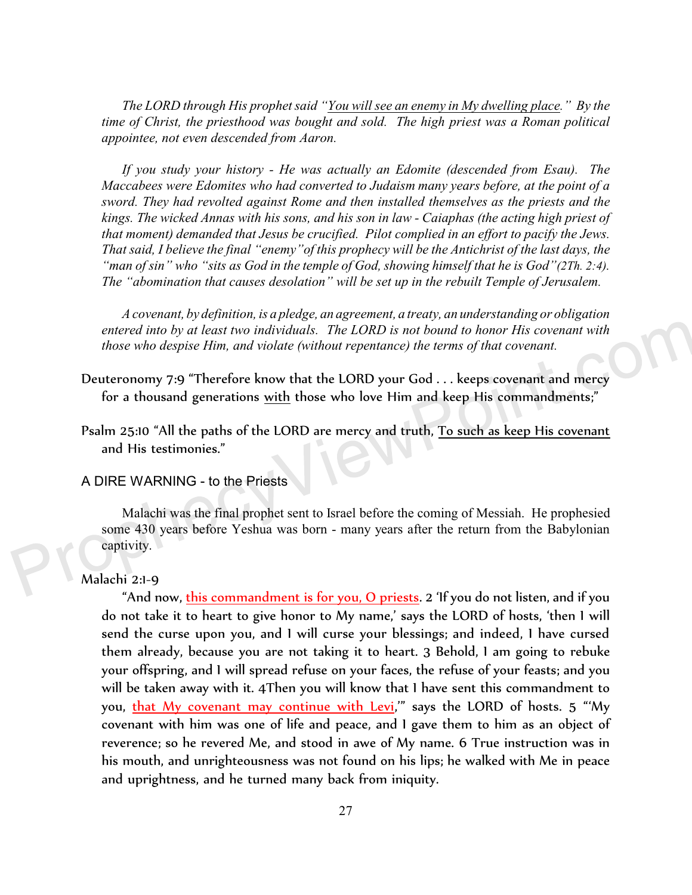*The LORD through His prophet said "You will see an enemy in My dwelling place." By the time of Christ, the priesthood was bought and sold. The high priest was a Roman political appointee, not even descended from Aaron.* 

*If you study your history - He was actually an Edomite (descended from Esau). The Maccabees were Edomites who had converted to Judaism many years before, at the point of a sword. They had revolted against Rome and then installed themselves as the priests and the kings. The wicked Annas with his sons, and his son in law - Caiaphas (the acting high priest of that moment) demanded that Jesus be crucified. Pilot complied in an effort to pacify the Jews. That said, I believe the final "enemy"of this prophecy will be the Antichrist of the last days, the "man of sin" who "sits as God in the temple of God, showing himself that he is God"(2Th. 2:4). The "abomination that causes desolation" will be set up in the rebuilt Temple of Jerusalem.* 

*A covenant, by definition, is a pledge, an agreement, a treaty, an understanding or obligation entered into by at least two individuals. The LORD is not bound to honor His covenant with those who despise Him, and violate (without repentance) the terms of that covenant.* 

- Deuteronomy 7:9 "Therefore know that the LORD your God . . . keeps covenant and mercy for a thousand generations with those who love Him and keep His commandments;"
- Psalm 25:10 "All the paths of the LORD are mercy and truth, To such as keep His covenant and His testimonies."

A DIRE WARNING - to the Priests

Malachi was the final prophet sent to Israel before the coming of Messiah. He prophesied some 430 years before Yeshua was born - many years after the return from the Babylonian captivity.

### Malachi 2:1-9

"And now, this commandment is for you, O priests. 2 'If you do not listen, and if you do not take it to heart to give honor to My name,' says the LORD of hosts, 'then I will send the curse upon you, and I will curse your blessings; and indeed, I have cursed them already, because you are not taking it to heart. 3 Behold, I am going to rebuke your offspring, and I will spread refuse on your faces, the refuse of your feasts; and you will be taken away with it. 4Then you will know that I have sent this commandment to you, that My covenant may continue with Levi," says the LORD of hosts. 5 "My covenant with him was one of life and peace, and I gave them to him as an object of reverence; so he revered Me, and stood in awe of My name. 6 True instruction was in his mouth, and unrighteousness was not found on his lips; he walked with Me in peace and uprightness, and he turned many back from iniquity.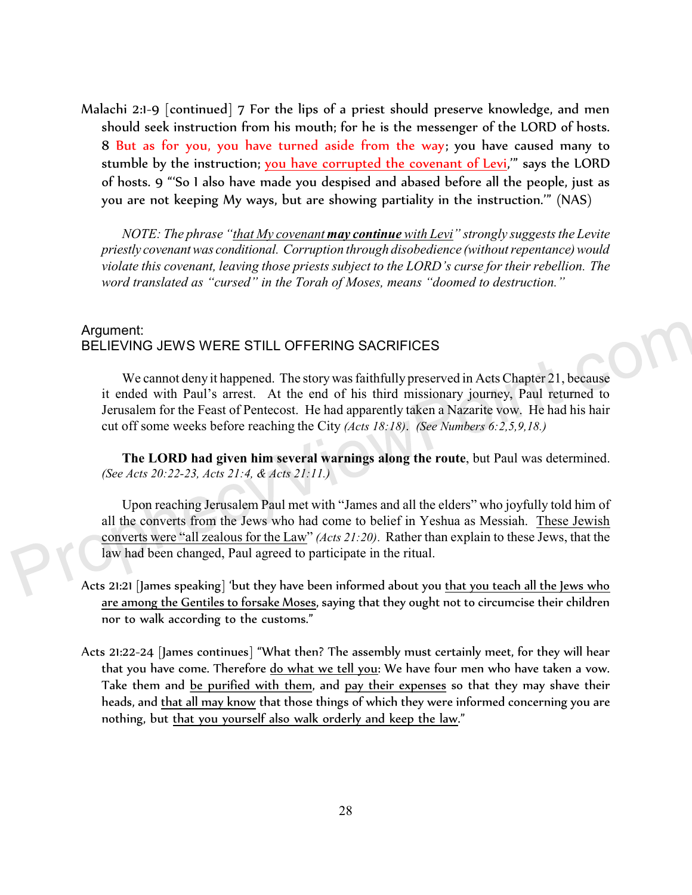Malachi 2:1-9 [continued] 7 For the lips of a priest should preserve knowledge, and men should seek instruction from his mouth; for he is the messenger of the LORD of hosts. 8 But as for you, you have turned aside from the way; you have caused many to stumble by the instruction; <u>you have corrupted the covenant of Levi</u>,'" says the LORD of hosts. 9 "'So I also have made you despised and abased before all the people, just as you are not keeping My ways, but are showing partiality in the instruction.'" (NAS)

*NOTE: The phrase "that My covenant may continue with Levi" strongly suggests the Levite priestly covenant was conditional. Corruption through disobedience (without repentance) would violate this covenant, leaving those priests subject to the LORD's curse for their rebellion. The word translated as "cursed" in the Torah of Moses, means "doomed to destruction."* 

## Argument: BELIEVING JEWS WERE STILL OFFERING SACRIFICES

We cannot deny it happened. The story was faithfully preserved in Acts Chapter 21, because it ended with Paul's arrest. At the end of his third missionary journey, Paul returned to Jerusalem for the Feast of Pentecost. He had apparently taken a Nazarite vow. He had his hair cut off some weeks before reaching the City *(Acts 18:18)*. *(See Numbers 6:2,5,9,18.)* 

**The LORD had given him several warnings along the route**, but Paul was determined. *(See Acts 20:22-23, Acts 21:4, & Acts 21:11.)*

Upon reaching Jerusalem Paul met with "James and all the elders" who joyfully told him of all the converts from the Jews who had come to belief in Yeshua as Messiah. These Jewish converts were "all zealous for the Law" *(Acts 21:20)*. Rather than explain to these Jews, that the law had been changed, Paul agreed to participate in the ritual.

- Acts 21:21 [James speaking] 'but they have been informed about you that you teach all the Jews who are among the Gentiles to forsake Moses, saying that they ought not to circumcise their children nor to walk according to the customs."
- Acts 21:22-24 [James continues] "What then? The assembly must certainly meet, for they will hear that you have come. Therefore <u>do what we tell you</u>: We have four men who have taken a vow. Take them and be purified with them, and pay their expenses so that they may shave their heads, and that all may know that those things of which they were informed concerning you are nothing, but that you yourself also walk orderly and keep the law."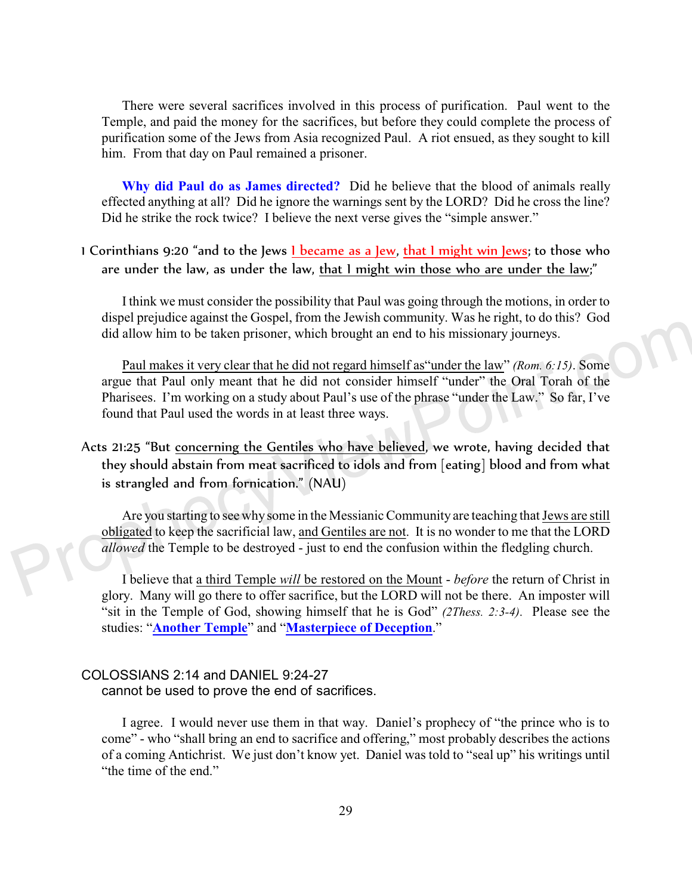There were several sacrifices involved in this process of purification. Paul went to the Temple, and paid the money for the sacrifices, but before they could complete the process of purification some of the Jews from Asia recognized Paul. A riot ensued, as they sought to kill him. From that day on Paul remained a prisoner.

**Why did Paul do as James directed?** Did he believe that the blood of animals really effected anything at all? Did he ignore the warnings sent by the LORD? Did he cross the line? Did he strike the rock twice? I believe the next verse gives the "simple answer."

## 1 Corinthians 9:20 "and to the Jews 1 became as a Jew, that 1 might win Jews; to those who are under the law, as under the law, that I might win those who are under the law;"

I think we must consider the possibility that Paul was going through the motions, in order to dispel prejudice against the Gospel, from the Jewish community. Was he right, to do this? God did allow him to be taken prisoner, which brought an end to his missionary journeys.

Paul makes it very clear that he did not regard himself as"under the law" *(Rom. 6:15)*. Some argue that Paul only meant that he did not consider himself "under" the Oral Torah of the Pharisees. I'm working on a study about Paul's use of the phrase "under the Law." So far, I've found that Paul used the words in at least three ways.

Acts 21:25 "But concerning the Gentiles who have believed, we wrote, having decided that they should abstain from meat sacrificed to idols and from [eating] blood and from what is strangled and from fornication." (NAU)

Are you starting to see why some in the Messianic Community are teaching that Jews are still obligated to keep the sacrificial law, and Gentiles are not. It is no wonder to me that the LORD *allowed* the Temple to be destroyed - just to end the confusion within the fledgling church.

I believe that a third Temple *will* be restored on the Mount - *before* the return of Christ in glory. Many will go there to offer sacrifice, but the LORD will not be there. An imposter will "sit in the Temple of God, showing himself that he is God" *(2Thess. 2:3-4)*. Please see the studies: "**[Another Temple](http://prophecyviewpoint.com/htdocs/40k-%20Another%20Temple.htm)**" and "**[Masterpiece of Deception](https://www.prophecyviewpoint.com/htdocs/18d-Israel-Part%20IV%20-%20Masterpiece%20of%20Deception.htm)**."

#### COLOSSIANS 2:14 and DANIEL 9:24-27

cannot be used to prove the end of sacrifices.

I agree. I would never use them in that way. Daniel's prophecy of "the prince who is to come" - who "shall bring an end to sacrifice and offering," most probably describes the actions of a coming Antichrist. We just don't know yet. Daniel was told to "seal up" his writings until "the time of the end."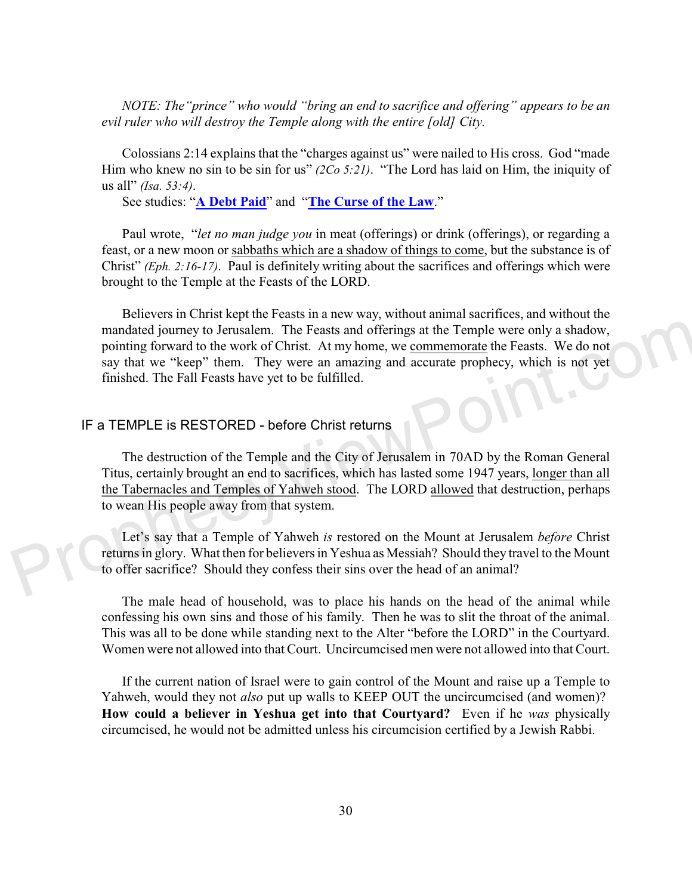*NOTE: The"prince" who would "bring an end to sacrifice and offering" appears to be an evil ruler who will destroy the Temple along with the entire [old] City.*

Colossians 2:14 explains that the "charges against us" were nailed to His cross. God "made Him who knew no sin to be sin for us" *(2Co 5:21)*. "The Lord has laid on Him, the iniquity of us all" *(Isa. 53:4)*.

See studies: "**[A Debt Paid](http://prophecyviewpoint.com/htdocs/40fba-A%20Debt%20Paid.htm)**" and "**[The Curse of the Law](http://prophecyviewpoint.com/htdocs/40e-The%20Curse%20of%20the%20Law.htm)**."

Paul wrote, "*let no man judge you* in meat (offerings) or drink (offerings), or regarding a feast, or a new moon or sabbaths which are a shadow of things to come, but the substance is of Christ" *(Eph. 2:16-17)*. Paul is definitely writing about the sacrifices and offerings which were brought to the Temple at the Feasts of the LORD.

Believers in Christ kept the Feasts in a new way, without animal sacrifices, and without the mandated journey to Jerusalem. The Feasts and offerings at the Temple were only a shadow, pointing forward to the work of Christ. At my home, we commemorate the Feasts. We do not say that we "keep" them. They were an amazing and accurate prophecy, which is not yet finished. The Fall Feasts have yet to be fulfilled.

## IF a TEMPLE is RESTORED - before Christ returns

The destruction of the Temple and the City of Jerusalem in 70AD by the Roman General Titus, certainly brought an end to sacrifices, which has lasted some 1947 years, longer than all the Tabernacles and Temples of Yahweh stood. The LORD allowed that destruction, perhaps to wean His people away from that system.

Let's say that a Temple of Yahweh *is* restored on the Mount at Jerusalem *before* Christ returns in glory. What then for believers in Yeshua as Messiah? Should they travel to the Mount to offer sacrifice? Should they confess their sins over the head of an animal?

The male head of household, was to place his hands on the head of the animal while confessing his own sins and those of his family. Then he was to slit the throat of the animal. This was all to be done while standing next to the Alter "before the LORD" in the Courtyard. Women were not allowed into that Court. Uncircumcised men were not allowed into that Court.

If the current nation of Israel were to gain control of the Mount and raise up a Temple to Yahweh, would they not *also* put up walls to KEEP OUT the uncircumcised (and women)? **How could a believer in Yeshua get into that Courtyard?** Even if he *was* physically circumcised, he would not be admitted unless his circumcision certified by a Jewish Rabbi.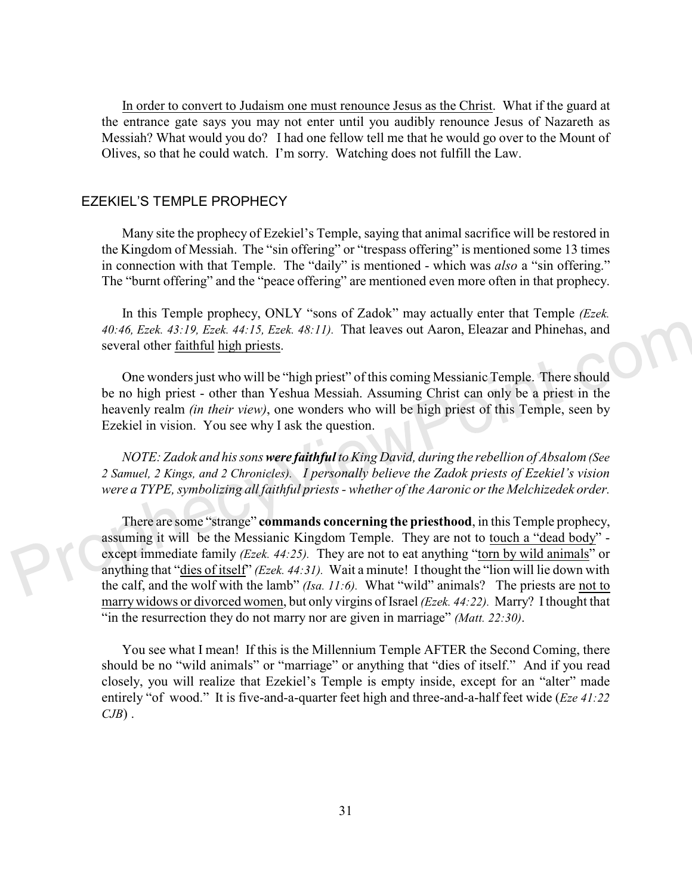In order to convert to Judaism one must renounce Jesus as the Christ. What if the guard at the entrance gate says you may not enter until you audibly renounce Jesus of Nazareth as Messiah? What would you do? I had one fellow tell me that he would go over to the Mount of Olives, so that he could watch. I'm sorry. Watching does not fulfill the Law.

#### EZEKIEL'S TEMPLE PROPHECY

Many site the prophecy of Ezekiel's Temple, saying that animal sacrifice will be restored in the Kingdom of Messiah. The "sin offering" or "trespass offering" is mentioned some 13 times in connection with that Temple. The "daily" is mentioned - which was *also* a "sin offering." The "burnt offering" and the "peace offering" are mentioned even more often in that prophecy.

In this Temple prophecy, ONLY "sons of Zadok" may actually enter that Temple *(Ezek. 40:46, Ezek. 43:19, Ezek. 44:15, Ezek. 48:11).* That leaves out Aaron, Eleazar and Phinehas, and several other faithful high priests.

One wonders just who will be "high priest" of this coming Messianic Temple. There should be no high priest - other than Yeshua Messiah. Assuming Christ can only be a priest in the heavenly realm *(in their view)*, one wonders who will be high priest of this Temple, seen by Ezekiel in vision. You see why I ask the question.

*NOTE: Zadok and his sons were faithful to King David, during the rebellion of Absalom (See 2 Samuel, 2 Kings, and 2 Chronicles). I personally believe the Zadok priests of Ezekiel's vision were a TYPE, symbolizing all faithful priests - whether of the Aaronic or the Melchizedek order.*

There are some "strange" **commands concerning the priesthood**, in this Temple prophecy, assuming it will be the Messianic Kingdom Temple. They are not to touch a "dead body" except immediate family *(Ezek. 44:25).* They are not to eat anything "torn by wild animals" or anything that "dies of itself" *(Ezek. 44:31).* Wait a minute! I thought the "lion will lie down with the calf, and the wolf with the lamb" *(Isa. 11:6).* What "wild" animals? The priests are not to marry widows or divorced women, but only virgins of Israel *(Ezek. 44:22).* Marry? I thought that "in the resurrection they do not marry nor are given in marriage" *(Matt. 22:30)*.

You see what I mean! If this is the Millennium Temple AFTER the Second Coming, there should be no "wild animals" or "marriage" or anything that "dies of itself." And if you read closely, you will realize that Ezekiel's Temple is empty inside, except for an "alter" made entirely "of wood." It is five-and-a-quarter feet high and three-and-a-half feet wide (*Eze 41:22 CJB*) .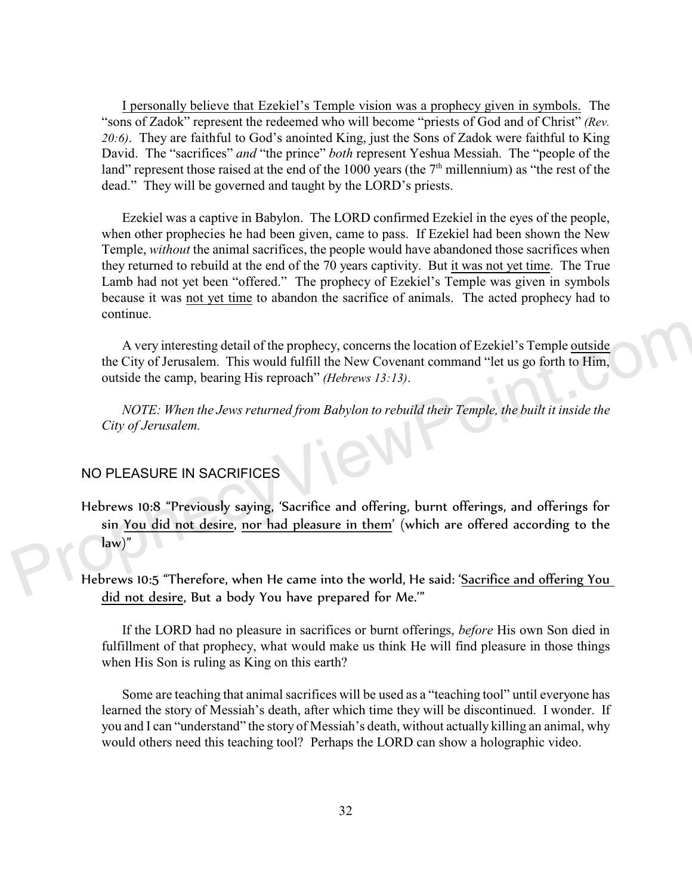I personally believe that Ezekiel's Temple vision was a prophecy given in symbols. The "sons of Zadok" represent the redeemed who will become "priests of God and of Christ" *(Rev. 20:6)*. They are faithful to God's anointed King, just the Sons of Zadok were faithful to King David. The "sacrifices" *and* "the prince" *both* represent Yeshua Messiah. The "people of the land" represent those raised at the end of the 1000 years (the  $7<sup>th</sup>$  millennium) as "the rest of the dead." They will be governed and taught by the LORD's priests.

Ezekiel was a captive in Babylon. The LORD confirmed Ezekiel in the eyes of the people, when other prophecies he had been given, came to pass. If Ezekiel had been shown the New Temple, *without* the animal sacrifices, the people would have abandoned those sacrifices when they returned to rebuild at the end of the 70 years captivity. But it was not yet time. The True Lamb had not yet been "offered." The prophecy of Ezekiel's Temple was given in symbols because it was not yet time to abandon the sacrifice of animals. The acted prophecy had to continue.

A very interesting detail of the prophecy, concerns the location of Ezekiel's Temple outside the City of Jerusalem. This would fulfill the New Covenant command "let us go forth to Him, outside the camp, bearing His reproach" *(Hebrews 13:13)*.

*NOTE: When the Jews returned from Babylon to rebuild their Temple, the built it inside the City of Jerusalem.*

## NO PLEASURE IN SACRIFICES

Hebrews 10:8 "Previously saying, 'Sacrifice and offering, burnt offerings, and offerings for sin You did not desire, nor had pleasure in them' (which are offered according to the law)"

Hebrews 10:5 "Therefore, when He came into the world, He said: 'Sacrifice and offering You did not desire, But a body You have prepared for Me.'"

If the LORD had no pleasure in sacrifices or burnt offerings, *before* His own Son died in fulfillment of that prophecy, what would make us think He will find pleasure in those things when His Son is ruling as King on this earth?

Some are teaching that animal sacrifices will be used as a "teaching tool" until everyone has learned the story of Messiah's death, after which time they will be discontinued. I wonder. If you and I can "understand" the story of Messiah's death, without actually killing an animal, why would others need this teaching tool? Perhaps the LORD can show a holographic video.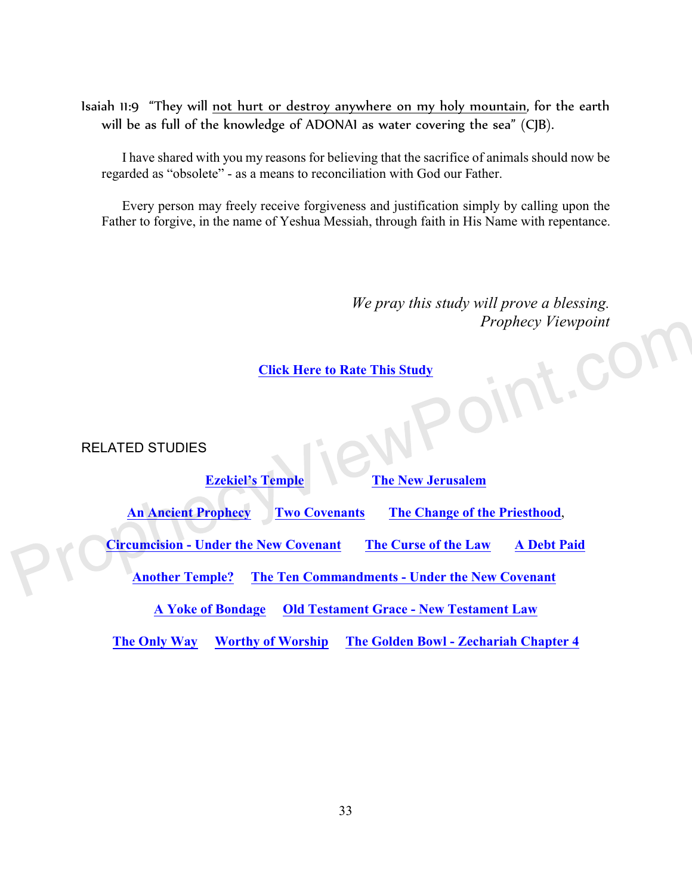Isaiah 11:9 "They will not hurt or destroy anywhere on my holy mountain, for the earth will be as full of the knowledge of ADONAI as water covering the sea" (CJB).

I have shared with you my reasons for believing that the sacrifice of animals should now be regarded as "obsolete" - as a means to reconciliation with God our Father.

Every person may freely receive forgiveness and justification simply by calling upon the Father to forgive, in the name of Yeshua Messiah, through faith in His Name with repentance.

> *We pray this study will prove a blessing. Prophecy Viewpoint*

## **[Click Here to Rate This Study](https://form.jotform.com/212163483524149)**

RELATED STUDIES

| <b>Ezekiel's Temple</b><br><b>The New Jerusalem</b>                                        |                          |                                              |  |  |  |
|--------------------------------------------------------------------------------------------|--------------------------|----------------------------------------------|--|--|--|
| <b>An Ancient Prophecy</b>                                                                 | <b>Two Covenants</b>     | The Change of the Priesthood,                |  |  |  |
| <b>Circumcision - Under the New Covenant</b><br>The Curse of the Law<br><b>A Debt Paid</b> |                          |                                              |  |  |  |
| <b>Another Temple?</b><br><b>The Ten Commandments - Under the New Covenant</b>             |                          |                                              |  |  |  |
| <b>Old Testament Grace - New Testament Law</b><br><b>A Yoke of Bondage</b>                 |                          |                                              |  |  |  |
| The Only Way                                                                               | <b>Worthy of Worship</b> | <b>The Golden Bowl - Zechariah Chapter 4</b> |  |  |  |